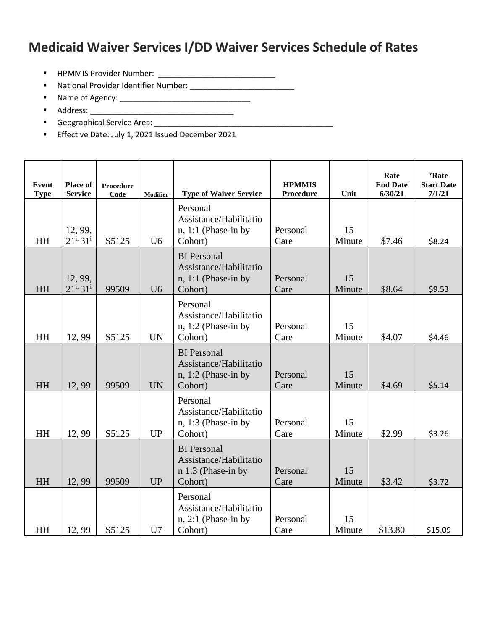## **Medicaid Waiver Services I/DD Waiver Services Schedule of Rates**

- HPMMIS Provider Number: \_\_\_\_\_\_\_\_\_\_\_\_\_\_\_\_\_\_\_\_\_\_\_\_\_\_\_
- National Provider Identifier Number: \_\_\_\_\_\_\_\_\_\_\_\_\_\_\_\_\_\_\_\_\_\_\_\_
- Name of Agency: \_\_\_\_\_\_\_\_\_\_\_\_\_\_\_\_\_\_\_\_\_\_\_\_\_\_\_\_\_\_
- Address: \_\_\_\_\_\_\_\_\_\_\_\_\_\_\_\_\_\_\_\_\_\_\_\_\_\_\_\_\_\_\_\_\_
- Geographical Service Area: \_\_\_\_\_\_\_\_\_\_\_\_\_\_\_\_\_\_\_\_\_\_\_\_\_\_\_\_\_\_\_\_\_\_\_\_\_\_\_\_\_
- **Effective Date: July 1, 2021 Issued December 2021**

| Event<br><b>Type</b> | Place of<br><b>Service</b> | Procedure<br>Code | Modifier       | <b>Type of Waiver Service</b>                                                    | <b>HPMMIS</b><br><b>Procedure</b> | Unit         | Rate<br><b>End Date</b><br>6/30/21 | <b>'Rate</b><br><b>Start Date</b><br>7/1/21 |
|----------------------|----------------------------|-------------------|----------------|----------------------------------------------------------------------------------|-----------------------------------|--------------|------------------------------------|---------------------------------------------|
| HH                   | 12, 99,<br>$21^{i}31^{i}$  | S5125             | U <sub>6</sub> | Personal<br>Assistance/Habilitatio<br>$n, 1:1$ (Phase-in by<br>Cohort)           | Personal<br>Care                  | 15<br>Minute | \$7.46                             | \$8.24                                      |
| <b>HH</b>            | 12, 99,<br>$21^{i}31^{i}$  | 99509             | U <sub>6</sub> | <b>BI</b> Personal<br>Assistance/Habilitatio<br>$n, 1:1$ (Phase-in by<br>Cohort) | Personal<br>Care                  | 15<br>Minute | \$8.64                             | \$9.53                                      |
| <b>HH</b>            | 12,99                      | S5125             | <b>UN</b>      | Personal<br>Assistance/Habilitatio<br>$n, 1:2$ (Phase-in by<br>Cohort)           | Personal<br>Care                  | 15<br>Minute | \$4.07                             | \$4.46                                      |
| <b>HH</b>            | 12,99                      | 99509             | <b>UN</b>      | <b>BI</b> Personal<br>Assistance/Habilitatio<br>$n, 1:2$ (Phase-in by<br>Cohort) | Personal<br>Care                  | 15<br>Minute | \$4.69                             | \$5.14                                      |
| HH                   | 12,99                      | S5125             | <b>UP</b>      | Personal<br>Assistance/Habilitatio<br>$n, 1:3$ (Phase-in by<br>Cohort)           | Personal<br>Care                  | 15<br>Minute | \$2.99                             | \$3.26                                      |
| <b>HH</b>            | 12, 99                     | 99509             | <b>UP</b>      | <b>BI</b> Personal<br>Assistance/Habilitatio<br>$n 1:3$ (Phase-in by<br>Cohort)  | Personal<br>Care                  | 15<br>Minute | \$3.42                             | \$3.72                                      |
| HH                   | 12,99                      | S5125             | U7             | Personal<br>Assistance/Habilitatio<br>$n, 2:1$ (Phase-in by<br>Cohort)           | Personal<br>Care                  | 15<br>Minute | \$13.80                            | \$15.09                                     |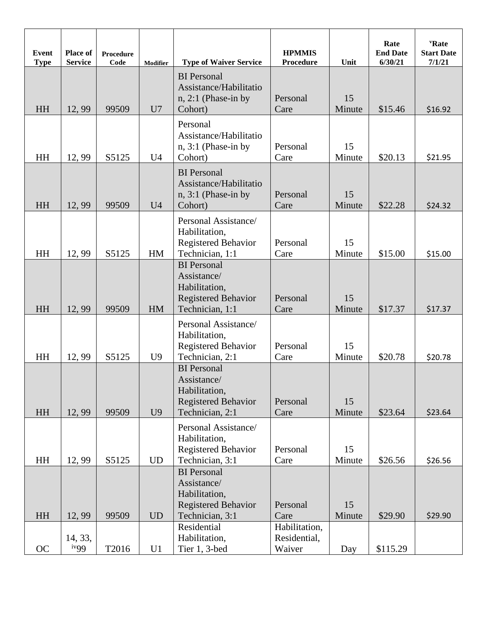| <b>Event</b><br><b>Type</b> | <b>Place of</b><br><b>Service</b> | <b>Procedure</b><br>Code | <b>Modifier</b> | <b>Type of Waiver Service</b>                                                                       | <b>HPMMIS</b><br><b>Procedure</b>       | Unit         | Rate<br><b>End Date</b><br>6/30/21 | "Rate"<br><b>Start Date</b><br>7/1/21 |
|-----------------------------|-----------------------------------|--------------------------|-----------------|-----------------------------------------------------------------------------------------------------|-----------------------------------------|--------------|------------------------------------|---------------------------------------|
| HH                          | 12, 99                            | 99509                    | U7              | <b>BI</b> Personal<br>Assistance/Habilitatio<br>$n, 2:1$ (Phase-in by<br>Cohort)                    | Personal<br>Care                        | 15<br>Minute | \$15.46                            | \$16.92                               |
| HH                          | 12,99                             | S5125                    | U <sub>4</sub>  | Personal<br>Assistance/Habilitatio<br>$n, 3:1$ (Phase-in by<br>Cohort)                              | Personal<br>Care                        | 15<br>Minute | \$20.13                            | \$21.95                               |
| HH                          | 12,99                             | 99509                    | U <sub>4</sub>  | <b>BI</b> Personal<br>Assistance/Habilitatio<br>$n, 3:1$ (Phase-in by<br>Cohort)                    | Personal<br>Care                        | 15<br>Minute | \$22.28                            | \$24.32                               |
| HH                          | 12,99                             | S5125                    | HM              | Personal Assistance/<br>Habilitation,<br><b>Registered Behavior</b><br>Technician, 1:1              | Personal<br>Care                        | 15<br>Minute | \$15.00                            | \$15.00                               |
| HH                          | 12,99                             | 99509                    | HM              | <b>BI</b> Personal<br>Assistance/<br>Habilitation,<br><b>Registered Behavior</b><br>Technician, 1:1 | Personal<br>Care                        | 15<br>Minute | \$17.37                            | \$17.37                               |
| HH                          | 12,99                             | S5125                    | U <sub>9</sub>  | Personal Assistance/<br>Habilitation,<br><b>Registered Behavior</b><br>Technician, 2:1              | Personal<br>Care                        | 15<br>Minute | \$20.78                            | \$20.78                               |
| HH                          | 12,99                             | 99509                    | U <sub>9</sub>  | <b>BI</b> Personal<br>Assistance/<br>Habilitation,<br><b>Registered Behavior</b><br>Technician, 2:1 | Personal<br>Care                        | 15<br>Minute | \$23.64                            | \$23.64                               |
| HH                          | 12,99                             | S5125                    | <b>UD</b>       | Personal Assistance/<br>Habilitation,<br><b>Registered Behavior</b><br>Technician, 3:1              | Personal<br>Care                        | 15<br>Minute | \$26.56                            | \$26.56                               |
| HH                          | 12,99                             | 99509                    | <b>UD</b>       | <b>BI</b> Personal<br>Assistance/<br>Habilitation,<br><b>Registered Behavior</b><br>Technician, 3:1 | Personal<br>Care                        | 15<br>Minute | \$29.90                            | \$29.90                               |
| <b>OC</b>                   | 14, 33,<br>iv <sub>99</sub>       | T2016                    | U1              | Residential<br>Habilitation,<br>Tier 1, 3-bed                                                       | Habilitation,<br>Residential,<br>Waiver | Day          | \$115.29                           |                                       |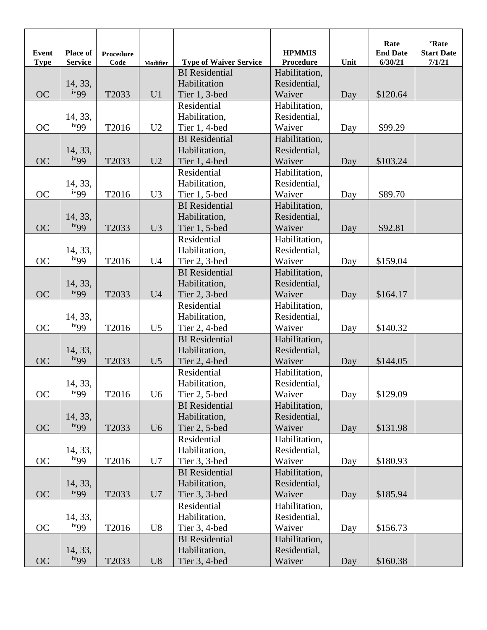| <b>Event</b><br><b>Type</b> | Place of<br><b>Service</b> | <b>Procedure</b><br>Code | <b>Modifier</b> | <b>Type of Waiver Service</b> | <b>HPMMIS</b><br>Procedure | Unit | Rate<br><b>End Date</b><br>6/30/21 | "Rate<br><b>Start Date</b><br>7/1/21 |
|-----------------------------|----------------------------|--------------------------|-----------------|-------------------------------|----------------------------|------|------------------------------------|--------------------------------------|
|                             |                            |                          |                 | <b>BI</b> Residential         | Habilitation,              |      |                                    |                                      |
|                             | 14, 33,                    |                          |                 | Habilitation                  | Residential,               |      |                                    |                                      |
| <b>OC</b>                   | iv <sub>99</sub>           | T2033                    | U1              | Tier 1, 3-bed                 | Waiver                     | Day  | \$120.64                           |                                      |
|                             |                            |                          |                 | Residential                   | Habilitation,              |      |                                    |                                      |
|                             | 14, 33,                    |                          |                 | Habilitation,                 | Residential,               |      |                                    |                                      |
| <b>OC</b>                   | iv <sub>99</sub>           | T2016                    | U <sub>2</sub>  | Tier 1, 4-bed                 | Waiver                     | Day  | \$99.29                            |                                      |
|                             |                            |                          |                 | <b>BI</b> Residential         | Habilitation,              |      |                                    |                                      |
|                             | 14, 33,                    |                          |                 | Habilitation,                 | Residential,               |      |                                    |                                      |
| <b>OC</b>                   | iv <sub>99</sub>           | T2033                    | U2              | Tier 1, 4-bed                 | Waiver                     | Day  | \$103.24                           |                                      |
|                             |                            |                          |                 | Residential                   | Habilitation,              |      |                                    |                                      |
|                             | 14, 33,                    |                          |                 | Habilitation,                 | Residential,               |      |                                    |                                      |
| <b>OC</b>                   | iv <sub>99</sub>           | T2016                    | U <sub>3</sub>  | Tier 1, 5-bed                 | Waiver                     | Day  | \$89.70                            |                                      |
|                             |                            |                          |                 | <b>BI</b> Residential         | Habilitation,              |      |                                    |                                      |
|                             | 14, 33,                    |                          |                 | Habilitation,                 | Residential,               |      |                                    |                                      |
| <b>OC</b>                   | iv <sub>99</sub>           | T2033                    | U3              | Tier 1, 5-bed                 | Waiver                     | Day  | \$92.81                            |                                      |
|                             |                            |                          |                 | Residential                   | Habilitation,              |      |                                    |                                      |
|                             | 14, 33,                    |                          |                 | Habilitation,                 | Residential,               |      |                                    |                                      |
| <b>OC</b>                   | iv <sub>99</sub>           | T2016                    | U <sub>4</sub>  | Tier 2, 3-bed                 | Waiver                     | Day  | \$159.04                           |                                      |
|                             |                            |                          |                 | <b>BI</b> Residential         | Habilitation,              |      |                                    |                                      |
|                             | 14, 33,                    |                          |                 | Habilitation,                 | Residential,               |      |                                    |                                      |
| <b>OC</b>                   | iv <sub>99</sub>           | T2033                    | U <sub>4</sub>  | Tier 2, 3-bed                 | Waiver                     | Day  | \$164.17                           |                                      |
|                             |                            |                          |                 | Residential                   | Habilitation,              |      |                                    |                                      |
|                             | 14, 33,                    |                          |                 | Habilitation,                 | Residential,               |      |                                    |                                      |
| <b>OC</b>                   | iv <sub>99</sub>           | T2016                    | U <sub>5</sub>  | Tier 2, 4-bed                 | Waiver                     | Day  | \$140.32                           |                                      |
|                             |                            |                          |                 | <b>BI</b> Residential         | Habilitation,              |      |                                    |                                      |
|                             | 14, 33,                    |                          |                 | Habilitation,                 | Residential,               |      |                                    |                                      |
| <b>OC</b>                   | iv <sub>99</sub>           | T2033                    | U <sub>5</sub>  | Tier 2, 4-bed                 | Waiver                     | Day  | \$144.05                           |                                      |
|                             |                            |                          |                 | Residential                   | Habilitation,              |      |                                    |                                      |
|                             | 14, 33,                    |                          |                 | Habilitation,                 | Residential,               |      |                                    |                                      |
| <b>OC</b>                   | ivgg                       | T2016                    | U <sub>6</sub>  | Tier 2, 5-bed                 | Waiver                     | Day  | \$129.09                           |                                      |
|                             |                            |                          |                 | <b>BI</b> Residential         | Habilitation,              |      |                                    |                                      |
|                             | 14, 33,                    |                          |                 | Habilitation,                 | Residential,               |      |                                    |                                      |
| <b>OC</b>                   | iv <sub>99</sub>           | T2033                    | U <sub>6</sub>  | Tier 2, 5-bed                 | Waiver                     | Day  | \$131.98                           |                                      |
|                             |                            |                          |                 | Residential                   | Habilitation,              |      |                                    |                                      |
|                             | 14, 33,                    |                          |                 | Habilitation,                 | Residential,               |      |                                    |                                      |
| OC                          | iv <sub>99</sub>           | T2016                    | U7              | Tier 3, 3-bed                 | Waiver                     | Day  | \$180.93                           |                                      |
|                             |                            |                          |                 | <b>BI</b> Residential         | Habilitation,              |      |                                    |                                      |
|                             | 14, 33,                    |                          |                 | Habilitation,                 | Residential,               |      |                                    |                                      |
| OC                          | iv <sub>99</sub>           | T2033                    | U7              | Tier $3, 3$ -bed              | Waiver                     | Day  | \$185.94                           |                                      |
|                             |                            |                          |                 | Residential                   | Habilitation,              |      |                                    |                                      |
|                             | 14, 33,                    |                          |                 | Habilitation,                 | Residential,               |      |                                    |                                      |
| OC                          | iv <sub>99</sub>           | T2016                    | U8              | Tier 3, 4-bed                 | Waiver                     | Day  | \$156.73                           |                                      |
|                             |                            |                          |                 | <b>BI</b> Residential         | Habilitation,              |      |                                    |                                      |
|                             | 14, 33,                    |                          |                 | Habilitation,                 | Residential,               |      |                                    |                                      |
| <b>OC</b>                   | iv <sub>99</sub>           | T2033                    | U8              | Tier 3, 4-bed                 | Waiver                     | Day  | \$160.38                           |                                      |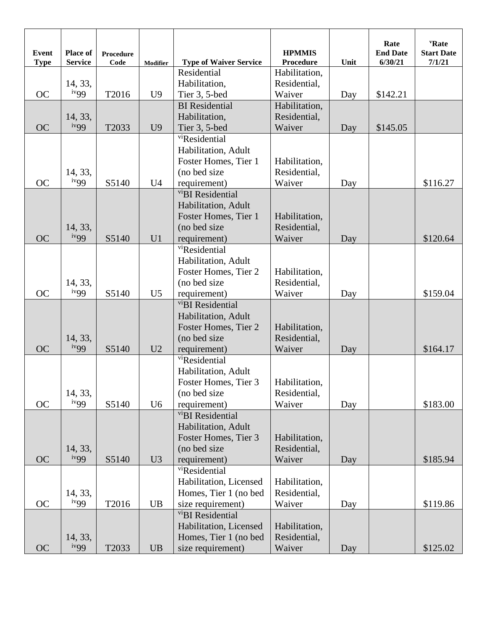| <b>Event</b><br><b>Type</b> | Place of<br><b>Service</b>  | <b>Procedure</b><br>Code | <b>Modifier</b> | <b>Type of Waiver Service</b>               | <b>HPMMIS</b><br><b>Procedure</b> | Unit | Rate<br><b>End Date</b><br>6/30/21 | "Rate<br><b>Start Date</b><br>7/1/21 |
|-----------------------------|-----------------------------|--------------------------|-----------------|---------------------------------------------|-----------------------------------|------|------------------------------------|--------------------------------------|
|                             |                             |                          |                 | Residential                                 | Habilitation,                     |      |                                    |                                      |
|                             | 14, 33,                     |                          |                 | Habilitation,                               | Residential,                      |      |                                    |                                      |
| <b>OC</b>                   | iv <sub>99</sub>            | T2016                    | U <sub>9</sub>  | Tier 3, 5-bed                               | Waiver                            | Day  | \$142.21                           |                                      |
|                             |                             |                          |                 | <b>BI</b> Residential                       | Habilitation,                     |      |                                    |                                      |
|                             | 14, 33,                     |                          |                 | Habilitation,                               | Residential,                      |      |                                    |                                      |
| <b>OC</b>                   | iv <sub>99</sub>            | T <sub>2033</sub>        | U <sub>9</sub>  | Tier 3, 5-bed                               | Waiver                            | Day  | \$145.05                           |                                      |
|                             |                             |                          |                 | vi <sub>Residential</sub>                   |                                   |      |                                    |                                      |
|                             |                             |                          |                 | Habilitation, Adult                         |                                   |      |                                    |                                      |
|                             |                             |                          |                 | Foster Homes, Tier 1                        | Habilitation,                     |      |                                    |                                      |
|                             | 14, 33,                     |                          |                 | (no bed size)                               | Residential,                      |      |                                    |                                      |
| <b>OC</b>                   | iv <sub>99</sub>            | S5140                    | U <sub>4</sub>  | requirement)                                | Waiver                            | Day  |                                    | \$116.27                             |
|                             |                             |                          |                 | <sup>vi</sup> BI Residential                |                                   |      |                                    |                                      |
|                             |                             |                          |                 | Habilitation, Adult                         |                                   |      |                                    |                                      |
|                             |                             |                          |                 | Foster Homes, Tier 1                        | Habilitation,                     |      |                                    |                                      |
|                             | 14, 33,                     |                          |                 | (no bed size                                | Residential,                      |      |                                    |                                      |
| <b>OC</b>                   | iv <sub>99</sub>            | S5140                    | U1              | requirement)                                | Waiver                            | Day  |                                    | \$120.64                             |
|                             |                             |                          |                 | vi <sub>Residential</sub>                   |                                   |      |                                    |                                      |
|                             |                             |                          |                 | Habilitation, Adult                         |                                   |      |                                    |                                      |
|                             |                             |                          |                 | Foster Homes, Tier 2                        | Habilitation,                     |      |                                    |                                      |
|                             | 14, 33,                     |                          |                 | (no bed size                                | Residential,                      |      |                                    |                                      |
| <b>OC</b>                   | iv <sub>99</sub>            | S5140                    | U <sub>5</sub>  | requirement)                                | Waiver                            | Day  |                                    | \$159.04                             |
|                             |                             |                          |                 | vi <sub>BI</sub> Residential                |                                   |      |                                    |                                      |
|                             |                             |                          |                 | Habilitation, Adult                         |                                   |      |                                    |                                      |
|                             |                             |                          |                 | Foster Homes, Tier 2                        | Habilitation,                     |      |                                    |                                      |
|                             | 14, 33,<br>iv <sub>99</sub> |                          |                 | (no bed size                                | Residential,                      |      |                                    |                                      |
| <b>OC</b>                   |                             | S5140                    | U2              | requirement)                                | Waiver                            | Day  |                                    | \$164.17                             |
|                             |                             |                          |                 | vi <sub>Residential</sub>                   |                                   |      |                                    |                                      |
|                             |                             |                          |                 | Habilitation, Adult                         |                                   |      |                                    |                                      |
|                             |                             |                          |                 | Foster Homes, Tier 3                        | Habilitation,                     |      |                                    |                                      |
|                             | 14, 33,<br>iv <sub>99</sub> |                          |                 | (no bed size)                               | Residential,                      |      |                                    |                                      |
| <b>OC</b>                   |                             | S5140                    | U <sub>6</sub>  | requirement)                                | Waiver                            | Day  |                                    | \$183.00                             |
|                             |                             |                          |                 | vi <sub>BI</sub> Residential                |                                   |      |                                    |                                      |
|                             |                             |                          |                 | Habilitation, Adult<br>Foster Homes, Tier 3 | Habilitation,                     |      |                                    |                                      |
|                             | 14, 33,                     |                          |                 | (no bed size                                | Residential,                      |      |                                    |                                      |
| <b>OC</b>                   | iv <sub>99</sub>            | S5140                    | U3              | requirement)                                | Waiver                            | Day  |                                    | \$185.94                             |
|                             |                             |                          |                 | vi <sub>Residential</sub>                   |                                   |      |                                    |                                      |
|                             |                             |                          |                 | Habilitation, Licensed                      | Habilitation,                     |      |                                    |                                      |
|                             | 14, 33,                     |                          |                 | Homes, Tier 1 (no bed                       | Residential,                      |      |                                    |                                      |
| OC                          | iv <sub>99</sub>            | T <sub>2016</sub>        | <b>UB</b>       | size requirement)                           | Waiver                            |      |                                    | \$119.86                             |
|                             |                             |                          |                 | vi <sub>BI</sub> Residential                |                                   | Day  |                                    |                                      |
|                             |                             |                          |                 | Habilitation, Licensed                      | Habilitation,                     |      |                                    |                                      |
|                             | 14, 33,                     |                          |                 | Homes, Tier 1 (no bed                       | Residential,                      |      |                                    |                                      |
| <b>OC</b>                   | iv <sub>99</sub>            | T2033                    | UB              | size requirement)                           | Waiver                            | Day  |                                    | \$125.02                             |
|                             |                             |                          |                 |                                             |                                   |      |                                    |                                      |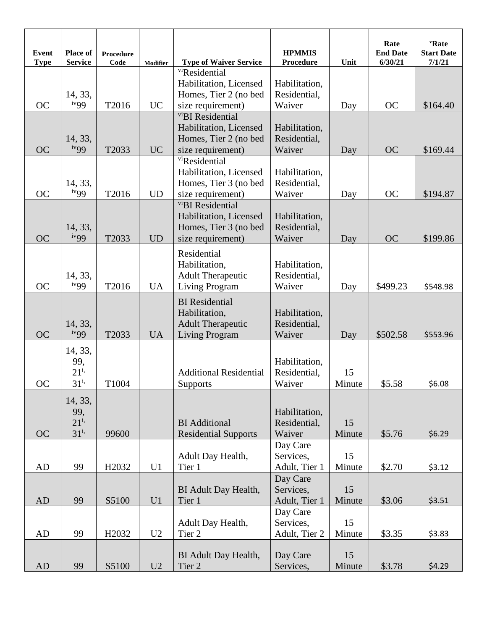| Event<br><b>Type</b> | <b>Place of</b><br><b>Service</b>      | <b>Procedure</b><br>Code | <b>Modifier</b> | <b>Type of Waiver Service</b>                                      | <b>HPMMIS</b><br><b>Procedure</b>       | Unit         | Rate<br><b>End Date</b><br>6/30/21 | "Rate<br><b>Start Date</b><br>7/1/21 |
|----------------------|----------------------------------------|--------------------------|-----------------|--------------------------------------------------------------------|-----------------------------------------|--------------|------------------------------------|--------------------------------------|
|                      |                                        |                          |                 | vi <sub>Residential</sub>                                          |                                         |              |                                    |                                      |
|                      | 14, 33,                                |                          |                 | Habilitation, Licensed<br>Homes, Tier 2 (no bed                    | Habilitation,<br>Residential,           |              |                                    |                                      |
| <b>OC</b>            | iv <sub>99</sub>                       | T2016                    | <b>UC</b>       | size requirement)                                                  | Waiver                                  | Day          | <b>OC</b>                          | \$164.40                             |
|                      |                                        |                          |                 | vi <sub>BI</sub> Residential                                       |                                         |              |                                    |                                      |
|                      |                                        |                          |                 | Habilitation, Licensed                                             | Habilitation,                           |              |                                    |                                      |
|                      | 14, 33,<br>iv <sub>99</sub>            |                          |                 | Homes, Tier 2 (no bed                                              | Residential,                            |              |                                    |                                      |
| <b>OC</b>            |                                        | T2033                    | <b>UC</b>       | size requirement)<br>vi <sub>Residential</sub>                     | Waiver                                  | Day          | <b>OC</b>                          | \$169.44                             |
|                      |                                        |                          |                 | Habilitation, Licensed                                             | Habilitation,                           |              |                                    |                                      |
|                      | 14, 33,                                |                          |                 | Homes, Tier 3 (no bed                                              | Residential,                            |              |                                    |                                      |
| <b>OC</b>            | iv <sub>99</sub>                       | T2016                    | <b>UD</b>       | size requirement)                                                  | Waiver                                  | Day          | <b>OC</b>                          | \$194.87                             |
|                      |                                        |                          |                 | vi <sub>BI</sub> Residential                                       |                                         |              |                                    |                                      |
|                      | 14, 33,                                |                          |                 | Habilitation, Licensed<br>Homes, Tier 3 (no bed                    | Habilitation,<br>Residential,           |              |                                    |                                      |
| <b>OC</b>            | iv <sub>99</sub>                       | T2033                    | <b>UD</b>       | size requirement)                                                  | Waiver                                  | Day          | <b>OC</b>                          | \$199.86                             |
|                      |                                        |                          |                 | Residential                                                        |                                         |              |                                    |                                      |
|                      |                                        |                          |                 | Habilitation,                                                      | Habilitation,                           |              |                                    |                                      |
|                      | 14, 33,                                |                          |                 | <b>Adult Therapeutic</b>                                           | Residential,                            |              |                                    |                                      |
| <b>OC</b>            | iv <sub>99</sub>                       | T2016                    | <b>UA</b>       | <b>Living Program</b>                                              | Waiver                                  | Day          | \$499.23                           | \$548.98                             |
|                      | 14, 33,                                |                          |                 | <b>BI</b> Residential<br>Habilitation,<br><b>Adult Therapeutic</b> | Habilitation,<br>Residential,           |              |                                    |                                      |
| <b>OC</b>            | $i$ <sup>v</sup> 99                    | T2033                    | <b>UA</b>       | <b>Living Program</b>                                              | Waiver                                  | Day          | \$502.58                           | \$553.96                             |
| <b>OC</b>            | 14, 33,<br>99,<br>$21^{i}$<br>$31^{i}$ | T1004                    |                 | <b>Additional Residential</b><br><b>Supports</b>                   | Habilitation,<br>Residential,<br>Waiver | 15<br>Minute | \$5.58                             | \$6.08                               |
|                      |                                        |                          |                 |                                                                    |                                         |              |                                    |                                      |
| <b>OC</b>            | 14, 33,<br>99,<br>$21^{i}$<br>$31^{i}$ | 99600                    |                 | <b>BI</b> Additional<br><b>Residential Supports</b>                | Habilitation,<br>Residential,<br>Waiver | 15<br>Minute | \$5.76                             | \$6.29                               |
|                      |                                        |                          |                 |                                                                    | Day Care                                |              |                                    |                                      |
|                      |                                        |                          |                 | Adult Day Health,                                                  | Services,                               | 15           |                                    |                                      |
| AD                   | 99                                     | H <sub>2032</sub>        | U1              | Tier 1                                                             | Adult, Tier 1                           | Minute       | \$2.70                             | \$3.12                               |
|                      |                                        |                          |                 | BI Adult Day Health,                                               | Day Care<br>Services,                   | 15           |                                    |                                      |
| AD                   | 99                                     | S5100                    | U1              | Tier 1                                                             | Adult, Tier 1                           | Minute       | \$3.06                             | \$3.51                               |
|                      |                                        |                          |                 |                                                                    | Day Care                                |              |                                    |                                      |
|                      |                                        |                          |                 | Adult Day Health,                                                  | Services,                               | 15           |                                    |                                      |
| AD                   | 99                                     | H <sub>2</sub> 032       | U2              | Tier 2                                                             | Adult, Tier 2                           | Minute       | \$3.35                             | \$3.83                               |
| AD                   | 99                                     | S5100                    | U2              | BI Adult Day Health,<br>Tier <sub>2</sub>                          | Day Care<br>Services,                   | 15<br>Minute | \$3.78                             | \$4.29                               |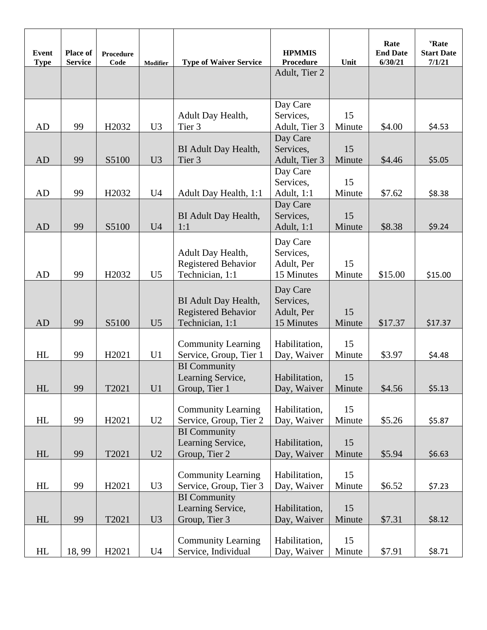| <b>Event</b><br><b>Type</b> | Place of<br><b>Service</b> | <b>Procedure</b><br>Code | Modifier       | <b>Type of Waiver Service</b>                                         | <b>HPMMIS</b><br>Procedure                        | Unit         | Rate<br><b>End Date</b><br>6/30/21 | 'Rate<br><b>Start Date</b><br>7/1/21 |
|-----------------------------|----------------------------|--------------------------|----------------|-----------------------------------------------------------------------|---------------------------------------------------|--------------|------------------------------------|--------------------------------------|
|                             |                            |                          |                |                                                                       | Adult, Tier 2                                     |              |                                    |                                      |
| AD                          | 99                         | H <sub>2032</sub>        | U <sub>3</sub> | Adult Day Health,<br>Tier 3                                           | Day Care<br>Services,<br>Adult, Tier 3            | 15<br>Minute | \$4.00                             | \$4.53                               |
| <b>AD</b>                   | 99                         | S5100                    | U3             | BI Adult Day Health,<br>Tier 3                                        | Day Care<br>Services,<br>Adult, Tier 3            | 15<br>Minute | \$4.46                             | \$5.05                               |
| AD                          | 99                         | H <sub>2</sub> 032       | U <sub>4</sub> | Adult Day Health, 1:1                                                 | Day Care<br>Services,<br>Adult, 1:1               | 15<br>Minute | \$7.62                             | \$8.38                               |
| <b>AD</b>                   | 99                         | S5100                    | U <sub>4</sub> | BI Adult Day Health,<br>1:1                                           | Day Care<br>Services,<br>Adult, 1:1               | 15<br>Minute | \$8.38                             | \$9.24                               |
| AD                          | 99                         | H <sub>2</sub> 032       | U <sub>5</sub> | Adult Day Health,<br>Registered Behavior<br>Technician, 1:1           | Day Care<br>Services,<br>Adult, Per<br>15 Minutes | 15<br>Minute | \$15.00                            | \$15.00                              |
| <b>AD</b>                   | 99                         | S5100                    | U <sub>5</sub> | BI Adult Day Health,<br><b>Registered Behavior</b><br>Technician, 1:1 | Day Care<br>Services,<br>Adult, Per<br>15 Minutes | 15<br>Minute | \$17.37                            | \$17.37                              |
| HL                          | 99                         | H2021                    | U1             | <b>Community Learning</b><br>Service, Group, Tier 1                   | Habilitation,<br>Day, Waiver                      | 15<br>Minute | \$3.97                             | \$4.48                               |
| HL                          | 99                         | T2021                    | U <sub>1</sub> | <b>BI</b> Community<br>Learning Service,<br>Group, Tier 1             | Habilitation,<br>Day, Waiver                      | 15<br>Minute | \$4.56                             | \$5.13                               |
| HL                          | 99                         | H <sub>2021</sub>        | U2             | <b>Community Learning</b><br>Service, Group, Tier 2                   | Habilitation,<br>Day, Waiver                      | 15<br>Minute | \$5.26                             | \$5.87                               |
| HL                          | 99                         | T2021                    | U2             | <b>BI</b> Community<br>Learning Service,<br>Group, Tier 2             | Habilitation,<br>Day, Waiver                      | 15<br>Minute | \$5.94                             | \$6.63                               |
| HL                          | 99                         | H <sub>2</sub> 021       | U3             | <b>Community Learning</b><br>Service, Group, Tier 3                   | Habilitation,<br>Day, Waiver                      | 15<br>Minute | \$6.52                             | \$7.23                               |
| HL                          | 99                         | T2021                    | U3             | <b>BI</b> Community<br>Learning Service,<br>Group, Tier 3             | Habilitation,<br>Day, Waiver                      | 15<br>Minute | \$7.31                             | \$8.12                               |
| HL                          | 18,99                      | H2021                    | U <sub>4</sub> | <b>Community Learning</b><br>Service, Individual                      | Habilitation,<br>Day, Waiver                      | 15<br>Minute | \$7.91                             | \$8.71                               |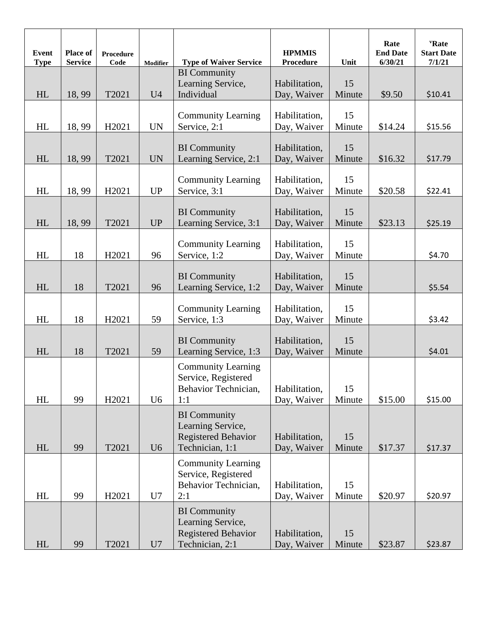| <b>Event</b><br><b>Type</b> | Place of<br><b>Service</b> | <b>Procedure</b><br>Code | Modifier       | <b>Type of Waiver Service</b>                                                             | <b>HPMMIS</b><br>Procedure   | Unit         | Rate<br><b>End Date</b><br>6/30/21 | 'Rate<br><b>Start Date</b><br>7/1/21 |
|-----------------------------|----------------------------|--------------------------|----------------|-------------------------------------------------------------------------------------------|------------------------------|--------------|------------------------------------|--------------------------------------|
| HL                          | 18,99                      | T2021                    | U <sub>4</sub> | <b>BI</b> Community<br>Learning Service,<br>Individual                                    | Habilitation,<br>Day, Waiver | 15<br>Minute | \$9.50                             | \$10.41                              |
| HL                          | 18,99                      | H2021                    | <b>UN</b>      | <b>Community Learning</b><br>Service, 2:1                                                 | Habilitation,<br>Day, Waiver | 15<br>Minute | \$14.24                            | \$15.56                              |
| HL                          | 18,99                      | T2021                    | <b>UN</b>      | <b>BI</b> Community<br>Learning Service, 2:1                                              | Habilitation,<br>Day, Waiver | 15<br>Minute | \$16.32                            | \$17.79                              |
| HL                          | 18,99                      | H2021                    | <b>UP</b>      | <b>Community Learning</b><br>Service, 3:1                                                 | Habilitation,<br>Day, Waiver | 15<br>Minute | \$20.58                            | \$22.41                              |
| HL                          | 18,99                      | T2021                    | <b>UP</b>      | <b>BI</b> Community<br>Learning Service, 3:1                                              | Habilitation,<br>Day, Waiver | 15<br>Minute | \$23.13                            | \$25.19                              |
| HL                          | 18                         | H2021                    | 96             | <b>Community Learning</b><br>Service, 1:2                                                 | Habilitation,<br>Day, Waiver | 15<br>Minute |                                    | \$4.70                               |
| HL                          | 18                         | T2021                    | 96             | <b>BI</b> Community<br>Learning Service, 1:2                                              | Habilitation,<br>Day, Waiver | 15<br>Minute |                                    | \$5.54                               |
| HL                          | 18                         | H2021                    | 59             | <b>Community Learning</b><br>Service, 1:3                                                 | Habilitation,<br>Day, Waiver | 15<br>Minute |                                    | \$3.42                               |
| HL                          | 18                         | T2021                    | 59             | <b>BI</b> Community<br>Learning Service, 1:3                                              | Habilitation,<br>Day, Waiver | 15<br>Minute |                                    | \$4.01                               |
| HL                          | 99                         | H2021                    | U <sub>6</sub> | <b>Community Learning</b><br>Service, Registered<br>Behavior Technician,<br>1:1           | Habilitation,<br>Day, Waiver | 15<br>Minute | \$15.00                            | \$15.00                              |
| HL                          | 99                         | T2021                    | U <sub>6</sub> | <b>BI</b> Community<br>Learning Service,<br><b>Registered Behavior</b><br>Technician, 1:1 | Habilitation,<br>Day, Waiver | 15<br>Minute | \$17.37                            | \$17.37                              |
| HL                          | 99                         | H <sub>2021</sub>        | U7             | <b>Community Learning</b><br>Service, Registered<br>Behavior Technician,<br>2:1           | Habilitation,<br>Day, Waiver | 15<br>Minute | \$20.97                            | \$20.97                              |
| HL                          | 99                         | T2021                    | U <sub>7</sub> | <b>BI</b> Community<br>Learning Service,<br>Registered Behavior<br>Technician, 2:1        | Habilitation,<br>Day, Waiver | 15<br>Minute | \$23.87                            | \$23.87                              |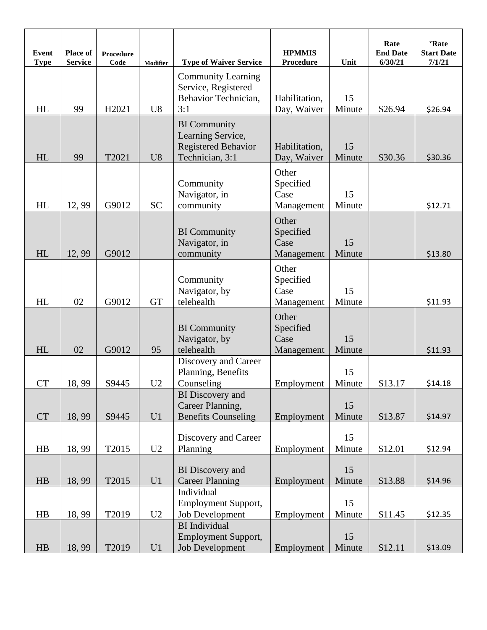| <b>Event</b><br><b>Type</b> | Place of<br><b>Service</b> | Procedure<br>Code | <b>Modifier</b> | <b>Type of Waiver Service</b>                                                             | <b>HPMMIS</b><br><b>Procedure</b>        | Unit         | Rate<br><b>End Date</b><br>6/30/21 | 'Rate<br><b>Start Date</b><br>7/1/21 |
|-----------------------------|----------------------------|-------------------|-----------------|-------------------------------------------------------------------------------------------|------------------------------------------|--------------|------------------------------------|--------------------------------------|
| HL                          | 99                         | H2021             | U <sub>8</sub>  | <b>Community Learning</b><br>Service, Registered<br>Behavior Technician,<br>3:1           | Habilitation,<br>Day, Waiver             | 15<br>Minute | \$26.94                            | \$26.94                              |
| HL                          | 99                         | T2021             | U8              | <b>BI</b> Community<br>Learning Service,<br><b>Registered Behavior</b><br>Technician, 3:1 | Habilitation,<br>Day, Waiver             | 15<br>Minute | \$30.36                            | \$30.36                              |
| HL                          | 12,99                      | G9012             | <b>SC</b>       | Community<br>Navigator, in<br>community                                                   | Other<br>Specified<br>Case<br>Management | 15<br>Minute |                                    | \$12.71                              |
| HL                          | 12,99                      | G9012             |                 | <b>BI</b> Community<br>Navigator, in<br>community                                         | Other<br>Specified<br>Case<br>Management | 15<br>Minute |                                    | \$13.80                              |
| HL                          | 02                         | G9012             | <b>GT</b>       | Community<br>Navigator, by<br>telehealth                                                  | Other<br>Specified<br>Case<br>Management | 15<br>Minute |                                    | \$11.93                              |
| HL                          | 02                         | G9012             | 95              | <b>BI</b> Community<br>Navigator, by<br>telehealth                                        | Other<br>Specified<br>Case<br>Management | 15<br>Minute |                                    | \$11.93                              |
| <b>CT</b>                   | 18,99                      | S9445             | U <sub>2</sub>  | Discovery and Career<br>Planning, Benefits<br>Counseling                                  | Employment                               | 15<br>Minute | \$13.17                            | \$14.18                              |
| <b>CT</b>                   | 18,99                      | S9445             | U1              | <b>BI</b> Discovery and<br>Career Planning,<br><b>Benefits Counseling</b>                 | Employment                               | 15<br>Minute | \$13.87                            | \$14.97                              |
| HB                          | 18,99                      | T2015             | U2              | Discovery and Career<br>Planning                                                          | Employment                               | 15<br>Minute | \$12.01                            | \$12.94                              |
| HB                          | 18,99                      | T2015             | U1              | <b>BI</b> Discovery and<br><b>Career Planning</b><br>Individual                           | Employment                               | 15<br>Minute | \$13.88                            | \$14.96                              |
| HB                          | 18,99                      | T2019             | U2              | <b>Employment Support,</b><br>Job Development<br><b>BI</b> Individual                     | Employment                               | 15<br>Minute | \$11.45                            | \$12.35                              |
| HB                          | 18,99                      | T2019             | U1              | <b>Employment Support,</b><br><b>Job Development</b>                                      | Employment                               | 15<br>Minute | \$12.11                            | \$13.09                              |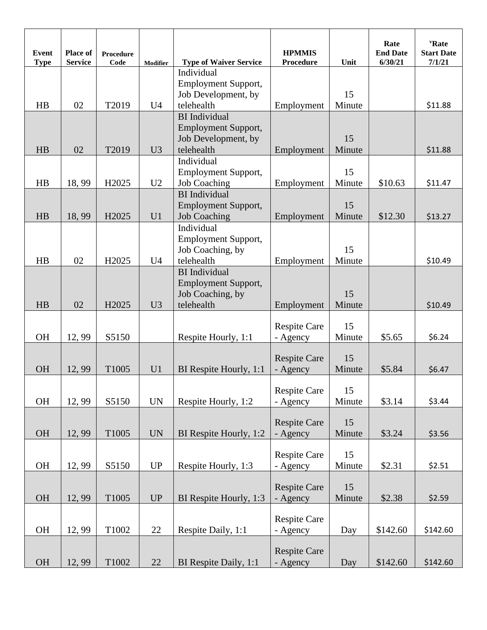| <b>Event</b><br><b>Type</b> | Place of<br><b>Service</b> | Procedure<br>Code | <b>Modifier</b>          | <b>Type of Waiver Service</b>                      | <b>HPMMIS</b><br><b>Procedure</b> | Unit         | Rate<br><b>End Date</b><br>6/30/21 | <b>'Rate</b><br><b>Start Date</b><br>7/1/21 |
|-----------------------------|----------------------------|-------------------|--------------------------|----------------------------------------------------|-----------------------------------|--------------|------------------------------------|---------------------------------------------|
|                             |                            |                   |                          | Individual                                         |                                   |              |                                    |                                             |
|                             |                            |                   |                          | <b>Employment Support,</b>                         |                                   |              |                                    |                                             |
|                             |                            |                   |                          | Job Development, by                                |                                   | 15           |                                    |                                             |
| HB                          | 02                         | T2019             | U <sub>4</sub>           | telehealth                                         | Employment                        | Minute       |                                    | \$11.88                                     |
|                             |                            |                   |                          | <b>BI</b> Individual<br><b>Employment Support,</b> |                                   |              |                                    |                                             |
|                             |                            |                   |                          | Job Development, by                                |                                   | 15           |                                    |                                             |
| HB                          | 02                         | T2019             | U <sub>3</sub>           | telehealth                                         | Employment                        | Minute       |                                    | \$11.88                                     |
|                             |                            |                   |                          | Individual                                         |                                   |              |                                    |                                             |
|                             |                            |                   |                          | <b>Employment Support,</b>                         |                                   | 15           |                                    |                                             |
| HB                          | 18,99                      | H <sub>2025</sub> | U <sub>2</sub>           | <b>Job Coaching</b>                                | Employment                        | Minute       | \$10.63                            | \$11.47                                     |
|                             |                            |                   |                          | <b>BI</b> Individual                               |                                   |              |                                    |                                             |
|                             |                            |                   |                          | <b>Employment Support,</b>                         |                                   | 15           |                                    |                                             |
| HB                          | 18,99                      | H <sub>2025</sub> | U <sub>1</sub>           | <b>Job Coaching</b><br>Individual                  | Employment                        | Minute       | \$12.30                            | \$13.27                                     |
|                             |                            |                   |                          | <b>Employment Support,</b>                         |                                   |              |                                    |                                             |
|                             |                            |                   |                          | Job Coaching, by                                   |                                   | 15           |                                    |                                             |
| HB                          | 02                         | H <sub>2025</sub> | U <sub>4</sub>           | telehealth                                         | Employment                        | Minute       |                                    | \$10.49                                     |
|                             |                            |                   |                          | <b>BI</b> Individual                               |                                   |              |                                    |                                             |
|                             |                            |                   |                          | <b>Employment Support,</b>                         |                                   |              |                                    |                                             |
|                             |                            |                   |                          | Job Coaching, by                                   |                                   | 15           |                                    |                                             |
| HB                          | 02                         | H2025             | U3                       | telehealth                                         | Employment                        | Minute       |                                    | \$10.49                                     |
|                             |                            |                   |                          |                                                    | <b>Respite Care</b>               | 15           |                                    |                                             |
| <b>OH</b>                   | 12,99                      | S5150             |                          | Respite Hourly, 1:1                                | - Agency                          | Minute       | \$5.65                             | \$6.24                                      |
|                             |                            |                   |                          |                                                    |                                   |              |                                    |                                             |
|                             |                            |                   |                          |                                                    | <b>Respite Care</b>               | 15           |                                    |                                             |
| <b>OH</b>                   | 12, 99                     | T1005             | U <sub>1</sub>           | BI Respite Hourly, 1:1                             | - Agency                          | Minute       | \$5.84                             | \$6.47                                      |
|                             |                            |                   |                          |                                                    |                                   |              |                                    |                                             |
| OH                          | 12,99                      | S5150             | $\ensuremath{\text{UN}}$ | Respite Hourly, 1:2                                | <b>Respite Care</b><br>- Agency   | 15<br>Minute | \$3.14                             | \$3.44                                      |
|                             |                            |                   |                          |                                                    |                                   |              |                                    |                                             |
|                             |                            |                   |                          |                                                    | <b>Respite Care</b>               | 15           |                                    |                                             |
| OH                          | 12,99                      | T1005             | $\ensuremath{\text{UN}}$ | BI Respite Hourly, 1:2                             | - Agency                          | Minute       | \$3.24                             | \$3.56                                      |
|                             |                            |                   |                          |                                                    |                                   |              |                                    |                                             |
|                             |                            |                   |                          |                                                    | <b>Respite Care</b>               | 15           |                                    |                                             |
| OH                          | 12,99                      | S5150             | UP                       | Respite Hourly, 1:3                                | - Agency                          | Minute       | \$2.31                             | \$2.51                                      |
|                             |                            |                   |                          |                                                    | <b>Respite Care</b>               | 15           |                                    |                                             |
| OH                          | 12, 99                     | T1005             | UP                       | BI Respite Hourly, 1:3                             | - Agency                          | Minute       | \$2.38                             | \$2.59                                      |
|                             |                            |                   |                          |                                                    |                                   |              |                                    |                                             |
|                             |                            |                   |                          |                                                    | <b>Respite Care</b>               |              |                                    |                                             |
| OH                          | 12,99                      | T1002             | 22                       | Respite Daily, 1:1                                 | - Agency                          | Day          | \$142.60                           | \$142.60                                    |
|                             |                            |                   |                          |                                                    | <b>Respite Care</b>               |              |                                    |                                             |
| OH                          | 12,99                      | T1002             | 22                       | BI Respite Daily, 1:1                              | - Agency                          | Day          | \$142.60                           | \$142.60                                    |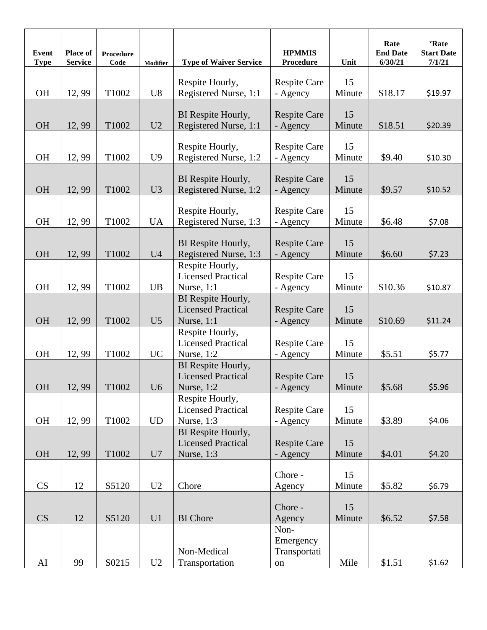| <b>Event</b><br><b>Type</b> | Place of<br><b>Service</b> | Procedure<br>Code | Modifier       | <b>Type of Waiver Service</b>                | <b>HPMMIS</b><br>Procedure      | Unit         | Rate<br><b>End Date</b><br>6/30/21 | 'Rate<br><b>Start Date</b><br>7/1/21 |
|-----------------------------|----------------------------|-------------------|----------------|----------------------------------------------|---------------------------------|--------------|------------------------------------|--------------------------------------|
|                             |                            |                   |                | Respite Hourly,                              | Respite Care                    | 15           |                                    |                                      |
| <b>OH</b>                   | 12, 99                     | T1002             | U8             | Registered Nurse, 1:1                        | - Agency                        | Minute       | \$18.17                            | \$19.97                              |
|                             |                            |                   |                | BI Respite Hourly,                           | <b>Respite Care</b>             | 15           |                                    |                                      |
| <b>OH</b>                   | 12, 99                     | T1002             | U2             | Registered Nurse, 1:1                        | - Agency                        | Minute       | \$18.51                            | \$20.39                              |
|                             |                            |                   |                |                                              | <b>Respite Care</b>             | 15           |                                    |                                      |
| <b>OH</b>                   | 12,99                      | T1002             | U <sub>9</sub> | Respite Hourly,<br>Registered Nurse, 1:2     | - Agency                        | Minute       | \$9.40                             | \$10.30                              |
|                             |                            |                   |                |                                              |                                 |              |                                    |                                      |
| OH                          | 12,99                      | T1002             | U3             | BI Respite Hourly,<br>Registered Nurse, 1:2  | <b>Respite Care</b><br>- Agency | 15<br>Minute | \$9.57                             | \$10.52                              |
|                             |                            |                   |                |                                              |                                 |              |                                    |                                      |
|                             |                            |                   |                | Respite Hourly,                              | <b>Respite Care</b>             | 15           |                                    |                                      |
| <b>OH</b>                   | 12,99                      | T1002             | <b>UA</b>      | Registered Nurse, 1:3                        | - Agency                        | Minute       | \$6.48                             | \$7.08                               |
|                             |                            |                   |                | BI Respite Hourly,                           | <b>Respite Care</b>             | 15           |                                    |                                      |
| <b>OH</b>                   | 12, 99                     | T1002             | U <sub>4</sub> | Registered Nurse, 1:3                        | - Agency                        | Minute       | \$6.60                             | \$7.23                               |
|                             |                            |                   |                | Respite Hourly,<br><b>Licensed Practical</b> | <b>Respite Care</b>             | 15           |                                    |                                      |
| <b>OH</b>                   | 12,99                      | T1002             | UB             | Nurse, 1:1                                   | - Agency                        | Minute       | \$10.36                            | \$10.87                              |
|                             |                            |                   |                | BI Respite Hourly,                           |                                 |              |                                    |                                      |
| <b>OH</b>                   | 12, 99                     | T1002             | U <sub>5</sub> | <b>Licensed Practical</b><br>Nurse, 1:1      | <b>Respite Care</b><br>- Agency | 15<br>Minute | \$10.69                            | \$11.24                              |
|                             |                            |                   |                | Respite Hourly,                              |                                 |              |                                    |                                      |
|                             |                            |                   |                | <b>Licensed Practical</b>                    | <b>Respite Care</b>             | 15           |                                    |                                      |
| <b>OH</b>                   | 12, 99                     | T1002             | <b>UC</b>      | Nurse, 1:2<br>BI Respite Hourly,             | - Agency                        | Minute       | \$5.51                             | \$5.77                               |
|                             |                            |                   |                | <b>Licensed Practical</b>                    | <b>Respite Care</b>             | 15           |                                    |                                      |
| $\rm OH$                    | 12, 99                     | T1002             | U6             | Nurse, 1:2                                   | - Agency                        | Minute       | \$5.68                             | \$5.96                               |
|                             |                            |                   |                | Respite Hourly,<br><b>Licensed Practical</b> | <b>Respite Care</b>             | 15           |                                    |                                      |
| OH                          | 12,99                      | T1002             | <b>UD</b>      | Nurse, 1:3                                   | - Agency                        | Minute       | \$3.89                             | \$4.06                               |
|                             |                            |                   |                | BI Respite Hourly,                           |                                 |              |                                    |                                      |
| OH                          |                            | T1002             | U7             | <b>Licensed Practical</b>                    | <b>Respite Care</b>             | 15           | \$4.01                             |                                      |
|                             | 12,99                      |                   |                | Nurse, 1:3                                   | - Agency                        | Minute       |                                    | \$4.20                               |
|                             |                            |                   |                |                                              | Chore -                         | 15           |                                    |                                      |
| CS                          | 12                         | S5120             | U2             | Chore                                        | Agency                          | Minute       | \$5.82                             | \$6.79                               |
|                             |                            |                   |                |                                              | Chore -                         | 15           |                                    |                                      |
| CS                          | 12                         | S5120             | U1             | <b>BI</b> Chore                              | Agency                          | Minute       | \$6.52                             | \$7.58                               |
|                             |                            |                   |                |                                              | Non-                            |              |                                    |                                      |
|                             |                            |                   |                | Non-Medical                                  | Emergency<br>Transportati       |              |                                    |                                      |
| AI                          | 99                         | S0215             | U2             | Transportation                               | on                              | Mile         | \$1.51                             | \$1.62                               |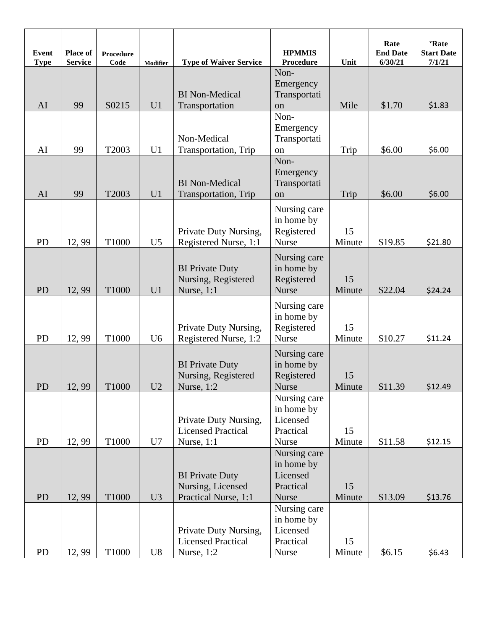| <b>Event</b><br><b>Type</b> | <b>Place of</b><br><b>Service</b> | <b>Procedure</b><br>Code | <b>Modifier</b> | <b>Type of Waiver Service</b>                                       | <b>HPMMIS</b><br>Procedure                                          | Unit         | Rate<br><b>End Date</b><br>6/30/21 | 'Rate<br><b>Start Date</b><br>7/1/21 |
|-----------------------------|-----------------------------------|--------------------------|-----------------|---------------------------------------------------------------------|---------------------------------------------------------------------|--------------|------------------------------------|--------------------------------------|
| AI                          | 99                                | S0215                    | U <sub>1</sub>  | <b>BI</b> Non-Medical<br>Transportation                             | Non-<br>Emergency<br>Transportati<br>on                             | Mile         | \$1.70                             | \$1.83                               |
| AI                          | 99                                | T2003                    | U <sub>1</sub>  | Non-Medical<br>Transportation, Trip                                 | Non-<br>Emergency<br>Transportati<br>on                             | Trip         | \$6.00                             | \$6.00                               |
| AI                          | 99                                | T2003                    | U <sub>1</sub>  | <b>BI</b> Non-Medical<br>Transportation, Trip                       | Non-<br>Emergency<br>Transportati<br>on                             | Trip         | \$6.00                             | \$6.00                               |
| <b>PD</b>                   | 12,99                             | T1000                    | U <sub>5</sub>  | Private Duty Nursing,<br>Registered Nurse, 1:1                      | Nursing care<br>in home by<br>Registered<br>Nurse                   | 15<br>Minute | \$19.85                            | \$21.80                              |
| PD                          | 12,99                             | T1000                    | U1              | <b>BI Private Duty</b><br>Nursing, Registered<br>Nurse, 1:1         | Nursing care<br>in home by<br>Registered<br><b>Nurse</b>            | 15<br>Minute | \$22.04                            | \$24.24                              |
| PD                          | 12,99                             | T1000                    | U <sub>6</sub>  | Private Duty Nursing,<br>Registered Nurse, 1:2                      | Nursing care<br>in home by<br>Registered<br>Nurse                   | 15<br>Minute | \$10.27                            | \$11.24                              |
| ${\rm PD}$                  | 12, 99                            | T1000                    | U2              | <b>BI Private Duty</b><br>Nursing, Registered<br>Nurse, 1:2         | Nursing care<br>in home by<br>Registered<br>Nurse                   | 15<br>Minute | \$11.39                            | \$12.49                              |
| <b>PD</b>                   | 12,99                             | T1000                    | U7              | Private Duty Nursing,<br><b>Licensed Practical</b><br>Nurse, 1:1    | Nursing care<br>in home by<br>Licensed<br>Practical<br>Nurse        | 15<br>Minute | \$11.58                            | \$12.15                              |
| <b>PD</b>                   | 12, 99                            | T1000                    | U3              | <b>BI Private Duty</b><br>Nursing, Licensed<br>Practical Nurse, 1:1 | Nursing care<br>in home by<br>Licensed<br>Practical<br><b>Nurse</b> | 15<br>Minute | \$13.09                            | \$13.76                              |
| <b>PD</b>                   | 12,99                             | T1000                    | U8              | Private Duty Nursing,<br><b>Licensed Practical</b><br>Nurse, 1:2    | Nursing care<br>in home by<br>Licensed<br>Practical<br>Nurse        | 15<br>Minute | \$6.15                             | \$6.43                               |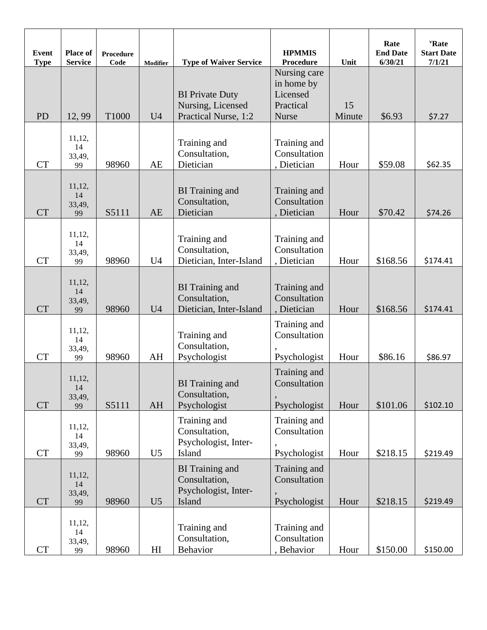| <b>Event</b><br><b>Type</b> | Place of<br><b>Service</b>   | Procedure<br>Code | <b>Modifier</b> | <b>Type of Waiver Service</b>                                             | <b>HPMMIS</b><br><b>Procedure</b>                                   | Unit         | Rate<br><b>End Date</b><br>6/30/21 | 'Rate<br><b>Start Date</b><br>7/1/21 |
|-----------------------------|------------------------------|-------------------|-----------------|---------------------------------------------------------------------------|---------------------------------------------------------------------|--------------|------------------------------------|--------------------------------------|
| <b>PD</b>                   | 12,99                        | T1000             | U <sub>4</sub>  | <b>BI</b> Private Duty<br>Nursing, Licensed<br>Practical Nurse, 1:2       | Nursing care<br>in home by<br>Licensed<br>Practical<br><b>Nurse</b> | 15<br>Minute | \$6.93                             | \$7.27                               |
| <b>CT</b>                   | 11,12,<br>14<br>33,49,<br>99 | 98960             | AE              | Training and<br>Consultation,<br>Dietician                                | Training and<br>Consultation<br>, Dietician                         | Hour         | \$59.08                            | \$62.35                              |
| <b>CT</b>                   | 11,12,<br>14<br>33,49,<br>99 | S5111             | AE              | <b>BI</b> Training and<br>Consultation,<br>Dietician                      | Training and<br>Consultation<br>, Dietician                         | Hour         | \$70.42                            | \$74.26                              |
| <b>CT</b>                   | 11,12,<br>14<br>33,49,<br>99 | 98960             | U <sub>4</sub>  | Training and<br>Consultation,<br>Dietician, Inter-Island                  | Training and<br>Consultation<br>, Dietician                         | Hour         | \$168.56                           | \$174.41                             |
| <b>CT</b>                   | 11,12,<br>14<br>33,49,<br>99 | 98960             | U <sub>4</sub>  | <b>BI</b> Training and<br>Consultation,<br>Dietician, Inter-Island        | Training and<br>Consultation<br>, Dietician                         | Hour         | \$168.56                           | \$174.41                             |
| <b>CT</b>                   | 11,12,<br>14<br>33,49,<br>99 | 98960             | AH              | Training and<br>Consultation,<br>Psychologist                             | Training and<br>Consultation<br>Psychologist                        | Hour         | \$86.16                            | \$86.97                              |
| <b>CT</b>                   | 11,12,<br>14<br>33,49,<br>99 | S5111             | AH              | <b>BI</b> Training and<br>Consultation,<br>Psychologist                   | Training and<br>Consultation<br>Psychologist                        | Hour         | \$101.06                           | \$102.10                             |
| CT                          | 11,12,<br>14<br>33,49,<br>99 | 98960             | U <sub>5</sub>  | Training and<br>Consultation,<br>Psychologist, Inter-<br>Island           | Training and<br>Consultation<br>Psychologist                        | Hour         | \$218.15                           | \$219.49                             |
| <b>CT</b>                   | 11,12,<br>14<br>33,49,<br>99 | 98960             | U <sub>5</sub>  | <b>BI</b> Training and<br>Consultation,<br>Psychologist, Inter-<br>Island | Training and<br>Consultation<br>Psychologist                        | Hour         | \$218.15                           | \$219.49                             |
| <b>CT</b>                   | 11,12,<br>14<br>33,49,<br>99 | 98960             | H <sub>I</sub>  | Training and<br>Consultation,<br>Behavior                                 | Training and<br>Consultation<br>, Behavior                          | Hour         | \$150.00                           | \$150.00                             |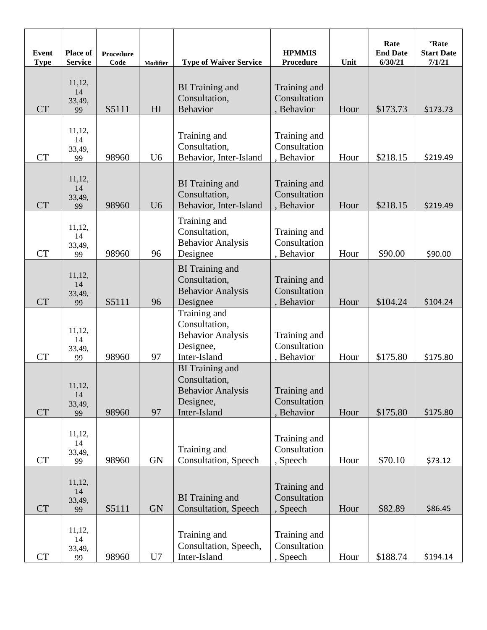| Event<br><b>Type</b> | Place of<br><b>Service</b>   | <b>Procedure</b><br>Code | <b>Modifier</b> | <b>Type of Waiver Service</b>                                                                    | <b>HPMMIS</b><br>Procedure                 | Unit | Rate<br><b>End Date</b><br>6/30/21 | 'Rate<br><b>Start Date</b><br>7/1/21 |
|----------------------|------------------------------|--------------------------|-----------------|--------------------------------------------------------------------------------------------------|--------------------------------------------|------|------------------------------------|--------------------------------------|
| <b>CT</b>            | 11,12,<br>14<br>33,49,<br>99 | S5111                    | HI              | <b>BI</b> Training and<br>Consultation,<br><b>Behavior</b>                                       | Training and<br>Consultation<br>, Behavior | Hour | \$173.73                           | \$173.73                             |
| <b>CT</b>            | 11,12,<br>14<br>33,49,<br>99 | 98960                    | U <sub>6</sub>  | Training and<br>Consultation,<br>Behavior, Inter-Island                                          | Training and<br>Consultation<br>, Behavior | Hour | \$218.15                           | \$219.49                             |
| <b>CT</b>            | 11,12,<br>14<br>33,49,<br>99 | 98960                    | U <sub>6</sub>  | <b>BI</b> Training and<br>Consultation,<br>Behavior, Inter-Island                                | Training and<br>Consultation<br>, Behavior | Hour | \$218.15                           | \$219.49                             |
| <b>CT</b>            | 11,12,<br>14<br>33,49,<br>99 | 98960                    | 96              | Training and<br>Consultation,<br><b>Behavior Analysis</b><br>Designee                            | Training and<br>Consultation<br>, Behavior | Hour | \$90.00                            | \$90.00                              |
| <b>CT</b>            | 11,12,<br>14<br>33,49,<br>99 | S5111                    | 96              | <b>BI</b> Training and<br>Consultation,<br><b>Behavior Analysis</b><br>Designee                  | Training and<br>Consultation<br>, Behavior | Hour | \$104.24                           | \$104.24                             |
| <b>CT</b>            | 11,12,<br>14<br>33,49,<br>99 | 98960                    | 97              | Training and<br>Consultation,<br><b>Behavior Analysis</b><br>Designee,<br>Inter-Island           | Training and<br>Consultation<br>, Behavior | Hour | \$175.80                           | \$175.80                             |
| <b>CT</b>            | 11,12,<br>14<br>33,49,<br>99 | 98960                    | 97              | <b>BI</b> Training and<br>Consultation,<br><b>Behavior Analysis</b><br>Designee,<br>Inter-Island | Training and<br>Consultation<br>, Behavior | Hour | \$175.80                           | \$175.80                             |
| <b>CT</b>            | 11,12,<br>14<br>33,49,<br>99 | 98960                    | <b>GN</b>       | Training and<br>Consultation, Speech                                                             | Training and<br>Consultation<br>, Speech   | Hour | \$70.10                            | \$73.12                              |
| <b>CT</b>            | 11,12,<br>14<br>33,49,<br>99 | S5111                    | <b>GN</b>       | <b>BI</b> Training and<br><b>Consultation</b> , Speech                                           | Training and<br>Consultation<br>, Speech   | Hour | \$82.89                            | \$86.45                              |
| <b>CT</b>            | 11,12,<br>14<br>33,49,<br>99 | 98960                    | U7              | Training and<br>Consultation, Speech,<br>Inter-Island                                            | Training and<br>Consultation<br>, Speech   | Hour | \$188.74                           | \$194.14                             |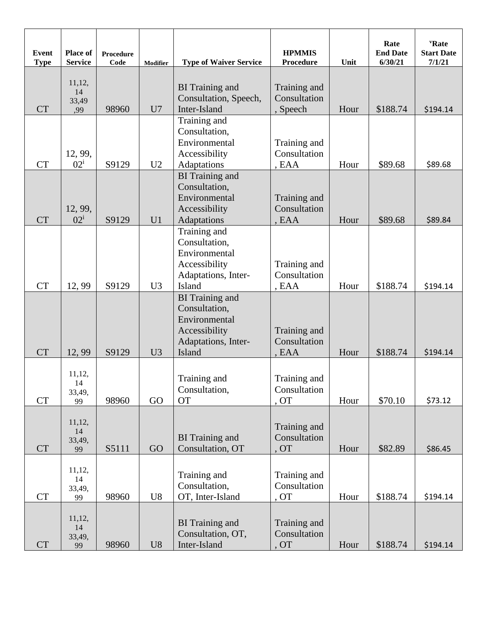| <b>Event</b><br><b>Type</b> | Place of<br><b>Service</b>       | <b>Procedure</b><br>Code | <b>Modifier</b> | <b>Type of Waiver Service</b>                                                                              | <b>HPMMIS</b><br><b>Procedure</b>              | Unit | Rate<br><b>End Date</b><br>6/30/21 | <b>'Rate</b><br><b>Start Date</b><br>7/1/21 |
|-----------------------------|----------------------------------|--------------------------|-----------------|------------------------------------------------------------------------------------------------------------|------------------------------------------------|------|------------------------------------|---------------------------------------------|
| <b>CT</b>                   | 11,12,<br>14<br>33,49<br>,99     | 98960                    | U7              | <b>BI</b> Training and<br>Consultation, Speech,<br>Inter-Island                                            | Training and<br>Consultation<br>, Speech       | Hour | \$188.74                           | \$194.14                                    |
| <b>CT</b>                   | 12, 99,<br>$02^{\rm i}$          | S9129                    |                 | Training and<br>Consultation,<br>Environmental<br>Accessibility                                            | Training and<br>Consultation                   | Hour |                                    |                                             |
| <b>CT</b>                   | 12, 99,<br>$02^{\rm i}$          | S9129                    | U2<br>U1        | Adaptations<br><b>BI</b> Training and<br>Consultation,<br>Environmental<br>Accessibility<br>Adaptations    | , EAA<br>Training and<br>Consultation<br>, EAA | Hour | \$89.68<br>\$89.68                 | \$89.68<br>\$89.84                          |
| <b>CT</b>                   | 12,99                            | S9129                    | U <sub>3</sub>  | Training and<br>Consultation,<br>Environmental<br>Accessibility<br>Adaptations, Inter-<br>Island           | Training and<br>Consultation<br>, EAA          | Hour | \$188.74                           | \$194.14                                    |
| <b>CT</b>                   | 12,99                            | S9129                    | U3              | <b>BI</b> Training and<br>Consultation,<br>Environmental<br>Accessibility<br>Adaptations, Inter-<br>Island | Training and<br>Consultation<br>, EAA          | Hour | \$188.74                           | \$194.14                                    |
| <b>CT</b>                   | 11,12,<br>14<br>33,49,<br>99     | 98960                    | GO              | Training and<br>Consultation,<br><b>OT</b>                                                                 | Training and<br>Consultation<br>, OT           | Hour | \$70.10                            | \$73.12                                     |
| <b>CT</b>                   | 11,12,<br>14<br>33,49,<br>99     | S5111                    | GO              | <b>BI</b> Training and<br>Consultation, OT                                                                 | Training and<br>Consultation<br>, OT           | Hour | \$82.89                            | \$86.45                                     |
| CT                          | 11,12,<br>14<br>33,49,<br>99     | 98960                    | U8              | Training and<br>Consultation,<br>OT, Inter-Island                                                          | Training and<br>Consultation<br>, OT           | Hour | \$188.74                           | \$194.14                                    |
| <b>CT</b>                   | 11,12,<br>$14\,$<br>33,49,<br>99 | 98960                    | U8              | <b>BI</b> Training and<br>Consultation, OT,<br>Inter-Island                                                | Training and<br>Consultation<br>, OT           | Hour | \$188.74                           | \$194.14                                    |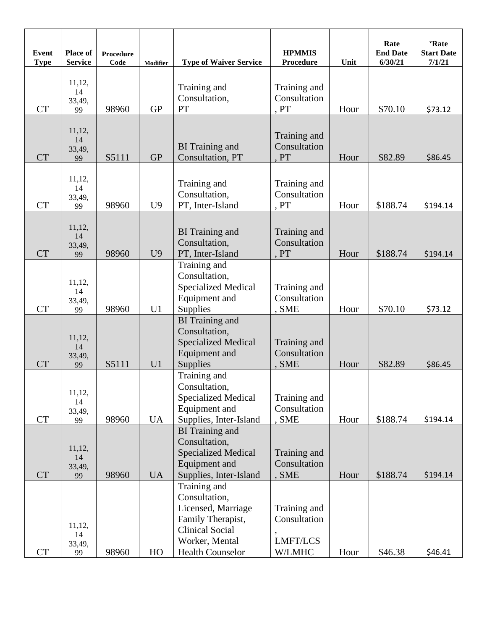| <b>Event</b><br><b>Type</b> | Place of<br><b>Service</b>         | Procedure<br>Code | Modifier       | <b>Type of Waiver Service</b>                                                                                                                   | <b>HPMMIS</b><br>Procedure                         | Unit         | Rate<br><b>End Date</b><br>6/30/21 | <b>'Rate</b><br><b>Start Date</b><br>7/1/21 |
|-----------------------------|------------------------------------|-------------------|----------------|-------------------------------------------------------------------------------------------------------------------------------------------------|----------------------------------------------------|--------------|------------------------------------|---------------------------------------------|
| <b>CT</b>                   | 11,12,<br>14<br>33,49,             | 98960             | <b>GP</b>      | Training and<br>Consultation,<br>PT                                                                                                             | Training and<br>Consultation<br>, PT               | Hour         | \$70.10                            | \$73.12                                     |
|                             | 99                                 |                   |                |                                                                                                                                                 |                                                    |              |                                    |                                             |
| <b>CT</b>                   | 11,12,<br>14<br>33,49,<br>99       | S5111             | <b>GP</b>      | <b>BI</b> Training and<br>Consultation, PT                                                                                                      | Training and<br>Consultation<br>, PT               | Hour         | \$82.89                            | \$86.45                                     |
| <b>CT</b>                   | 11,12,<br>14<br>33,49,<br>99       | 98960             | U <sub>9</sub> | Training and<br>Consultation,<br>PT, Inter-Island                                                                                               | Training and<br>Consultation<br>, PT               | Hour         | \$188.74                           | \$194.14                                    |
| <b>CT</b>                   | 11,12,<br>14<br>33,49,<br>99       | 98960             | U <sub>9</sub> | <b>BI</b> Training and<br>Consultation,<br>PT, Inter-Island                                                                                     | Training and<br>Consultation<br>, PT               | Hour         | \$188.74                           | \$194.14                                    |
|                             | 11,12,<br>14<br>33,49,             |                   |                | Training and<br>Consultation,<br><b>Specialized Medical</b><br>Equipment and                                                                    | Training and<br>Consultation                       |              |                                    |                                             |
| <b>CT</b><br><b>CT</b>      | 99<br>11,12,<br>14<br>33,49,<br>99 | 98960<br>S5111    | U1<br>U1       | <b>Supplies</b><br><b>BI</b> Training and<br>Consultation,<br><b>Specialized Medical</b><br><b>Equipment</b> and<br>Supplies                    | , SME<br>Training and<br>Consultation<br>, SME     | Hour<br>Hour | \$70.10<br>\$82.89                 | \$73.12<br>\$86.45                          |
| <b>CT</b>                   | 11,12,<br>14<br>33,49,<br>99       | 98960             | <b>UA</b>      | Training and<br>Consultation,<br><b>Specialized Medical</b><br>Equipment and<br>Supplies, Inter-Island                                          | Training and<br>Consultation<br>, SME              | Hour         | \$188.74                           | \$194.14                                    |
| <b>CT</b>                   | 11,12,<br>14<br>33,49,<br>99       | 98960             | <b>UA</b>      | <b>BI</b> Training and<br>Consultation,<br><b>Specialized Medical</b><br>Equipment and<br>Supplies, Inter-Island                                | Training and<br>Consultation<br>, SME              | Hour         | \$188.74                           | \$194.14                                    |
| <b>CT</b>                   | 11,12,<br>14<br>33,49,<br>99       | 98960             | HO             | Training and<br>Consultation,<br>Licensed, Marriage<br>Family Therapist,<br><b>Clinical Social</b><br>Worker, Mental<br><b>Health Counselor</b> | Training and<br>Consultation<br>LMFT/LCS<br>W/LMHC | Hour         | \$46.38                            | \$46.41                                     |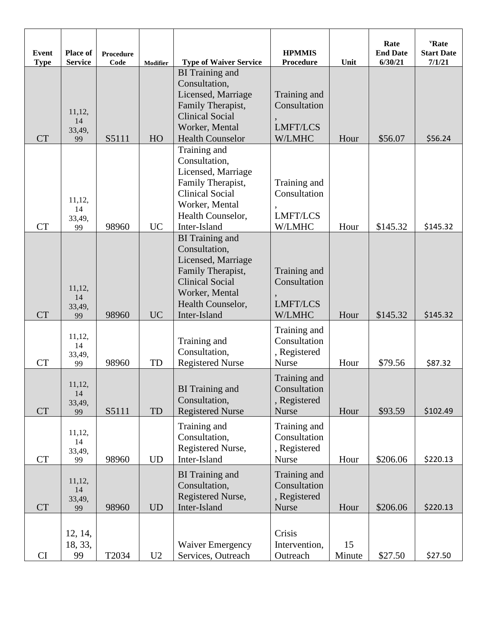| <b>Event</b><br><b>Type</b> | <b>Place of</b><br><b>Service</b> | <b>Procedure</b><br>Code | <b>Modifier</b> | <b>Type of Waiver Service</b>                                                                                                                                       | <b>HPMMIS</b><br>Procedure                                   | Unit         | Rate<br><b>End Date</b><br>6/30/21 | "Rate"<br><b>Start Date</b><br>7/1/21 |
|-----------------------------|-----------------------------------|--------------------------|-----------------|---------------------------------------------------------------------------------------------------------------------------------------------------------------------|--------------------------------------------------------------|--------------|------------------------------------|---------------------------------------|
| <b>CT</b>                   | 11,12,<br>14<br>33,49,<br>99      | S5111                    | HO              | <b>BI</b> Training and<br>Consultation,<br>Licensed, Marriage<br>Family Therapist,<br><b>Clinical Social</b><br>Worker, Mental<br><b>Health Counselor</b>           | Training and<br>Consultation<br><b>LMFT/LCS</b><br>W/LMHC    | Hour         | \$56.07                            | \$56.24                               |
| <b>CT</b>                   | 11,12,<br>14<br>33,49,<br>99      | 98960                    | <b>UC</b>       | Training and<br>Consultation,<br>Licensed, Marriage<br>Family Therapist,<br><b>Clinical Social</b><br>Worker, Mental<br>Health Counselor,<br>Inter-Island           | Training and<br>Consultation<br><b>LMFT/LCS</b><br>W/LMHC    | Hour         | \$145.32                           | \$145.32                              |
| <b>CT</b>                   | 11,12,<br>14<br>33,49,<br>99      | 98960                    | <b>UC</b>       | <b>BI</b> Training and<br>Consultation,<br>Licensed, Marriage<br>Family Therapist,<br><b>Clinical Social</b><br>Worker, Mental<br>Health Counselor,<br>Inter-Island | Training and<br>Consultation<br><b>LMFT/LCS</b><br>W/LMHC    | Hour         | \$145.32                           | \$145.32                              |
| <b>CT</b>                   | 11,12,<br>14<br>33,49,<br>99      | 98960                    | TD              | Training and<br>Consultation,<br><b>Registered Nurse</b>                                                                                                            | Training and<br>Consultation<br>, Registered<br><b>Nurse</b> | Hour         | \$79.56                            | \$87.32                               |
| <b>CT</b>                   | 11,12,<br>14<br>33,49,<br>99      | S5111                    | TD              | <b>BI</b> Training and<br>Consultation,<br><b>Registered Nurse</b>                                                                                                  | Training and<br>Consultation<br>, Registered<br><b>Nurse</b> | Hour         | \$93.59                            | \$102.49                              |
| CT                          | 11,12,<br>14<br>33,49,<br>99      | 98960                    | <b>UD</b>       | Training and<br>Consultation,<br>Registered Nurse,<br>Inter-Island                                                                                                  | Training and<br>Consultation<br>, Registered<br><b>Nurse</b> | Hour         | \$206.06                           | \$220.13                              |
| <b>CT</b>                   | 11,12,<br>14<br>33,49,<br>99      | 98960                    | <b>UD</b>       | <b>BI</b> Training and<br>Consultation,<br>Registered Nurse,<br>Inter-Island                                                                                        | Training and<br>Consultation<br>, Registered<br><b>Nurse</b> | Hour         | \$206.06                           | \$220.13                              |
| CI                          | 12, 14,<br>18, 33,<br>99          | T2034                    | U2              | <b>Waiver Emergency</b><br>Services, Outreach                                                                                                                       | Crisis<br>Intervention,<br>Outreach                          | 15<br>Minute | \$27.50                            | \$27.50                               |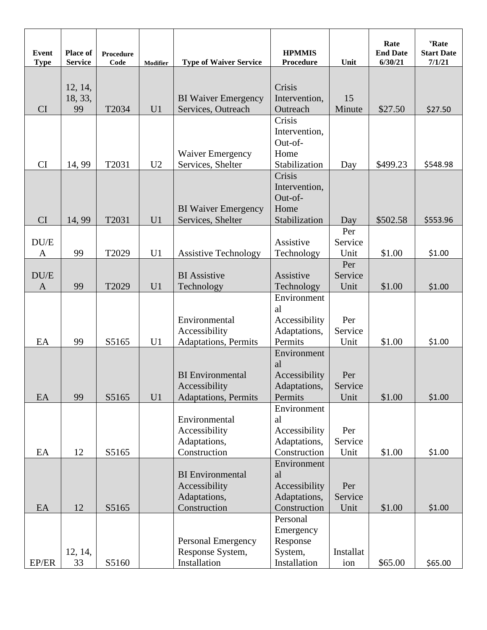| <b>Event</b><br><b>Type</b> | <b>Place of</b><br><b>Service</b> | Procedure<br>Code | Modifier       | <b>Type of Waiver Service</b>                                            | <b>HPMMIS</b><br><b>Procedure</b>                                  | Unit                   | Rate<br><b>End Date</b><br>6/30/21 | <b>'Rate</b><br><b>Start Date</b><br>7/1/21 |
|-----------------------------|-----------------------------------|-------------------|----------------|--------------------------------------------------------------------------|--------------------------------------------------------------------|------------------------|------------------------------------|---------------------------------------------|
| CI                          | 12, 14,<br>18, 33,<br>99          | T2034             | U1             | <b>BI</b> Waiver Emergency<br>Services, Outreach                         | Crisis<br>Intervention,<br>Outreach                                | 15<br>Minute           | \$27.50                            | \$27.50                                     |
| CI                          | 14, 99                            | T2031             | U <sub>2</sub> | <b>Waiver Emergency</b><br>Services, Shelter                             | Crisis<br>Intervention,<br>Out-of-<br>Home<br>Stabilization        | Day                    | \$499.23                           | \$548.98                                    |
| <b>CI</b>                   | 14, 99                            | T2031             | U <sub>1</sub> | <b>BI</b> Waiver Emergency<br>Services, Shelter                          | Crisis<br>Intervention,<br>Out-of-<br>Home<br>Stabilization        | Day                    | \$502.58                           | \$553.96                                    |
| DU/E<br>$\mathbf{A}$        | 99                                | T2029             | U <sub>1</sub> | <b>Assistive Technology</b>                                              | Assistive<br>Technology                                            | Per<br>Service<br>Unit | \$1.00                             | \$1.00                                      |
| DU/E<br>$\mathbf{A}$        | 99                                | T2029             | U <sub>1</sub> | <b>BI</b> Assistive<br>Technology                                        | Assistive<br>Technology                                            | Per<br>Service<br>Unit | \$1.00                             | \$1.00                                      |
| EA                          | 99                                | S5165             | U1             | Environmental<br>Accessibility<br>Adaptations, Permits                   | Environment<br>al<br>Accessibility<br>Adaptations,<br>Permits      | Per<br>Service<br>Unit | \$1.00                             | \$1.00                                      |
| EA                          | 99                                | S5165             | U1             | <b>BI</b> Environmental<br>Accessibility<br><b>Adaptations</b> , Permits | Environment<br>al<br>Accessibility<br>Adaptations,<br>Permits      | Per<br>Service<br>Unit | \$1.00                             | \$1.00                                      |
| EA                          | 12                                | S5165             |                | Environmental<br>Accessibility<br>Adaptations,<br>Construction           | Environment<br>al<br>Accessibility<br>Adaptations,<br>Construction | Per<br>Service<br>Unit | \$1.00                             | \$1.00                                      |
| EA                          | 12                                | S5165             |                | <b>BI</b> Environmental<br>Accessibility<br>Adaptations,<br>Construction | Environment<br>al<br>Accessibility<br>Adaptations,<br>Construction | Per<br>Service<br>Unit | \$1.00                             | \$1.00                                      |
| EP/ER                       | 12, 14,<br>33                     | S5160             |                | <b>Personal Emergency</b><br>Response System,<br>Installation            | Personal<br>Emergency<br>Response<br>System,<br>Installation       | Installat<br>ion       | \$65.00                            | \$65.00                                     |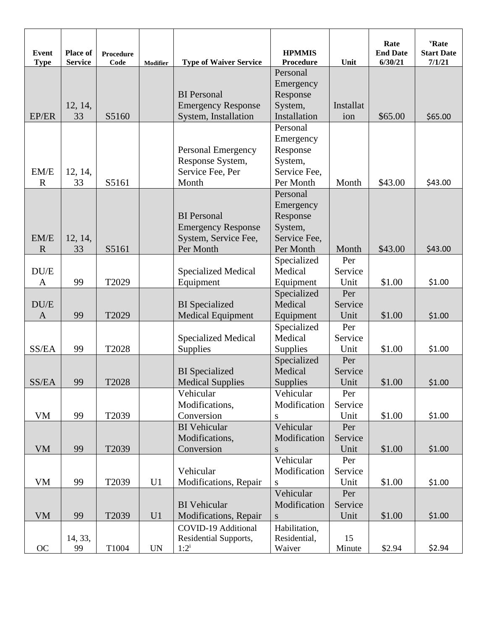| <b>Event</b><br><b>Type</b> | <b>Place of</b><br><b>Service</b> | Procedure<br>Code | Modifier                 | <b>Type of Waiver Service</b>                                                        | <b>HPMMIS</b><br><b>Procedure</b>                                         | Unit                          | Rate<br><b>End Date</b><br>6/30/21 | <b>'Rate</b><br><b>Start Date</b><br>7/1/21 |
|-----------------------------|-----------------------------------|-------------------|--------------------------|--------------------------------------------------------------------------------------|---------------------------------------------------------------------------|-------------------------------|------------------------------------|---------------------------------------------|
| EP/ER                       | 12, 14,<br>33                     | S5160             |                          | <b>BI</b> Personal<br><b>Emergency Response</b><br>System, Installation              | Personal<br>Emergency<br>Response<br>System,<br>Installation              | Installat<br>ion              | \$65.00                            | \$65.00                                     |
| EM/E<br>$\mathbf R$         | 12, 14,<br>33                     | S5161             |                          | <b>Personal Emergency</b><br>Response System,<br>Service Fee, Per<br>Month           | Personal<br>Emergency<br>Response<br>System,<br>Service Fee,<br>Per Month | Month                         | \$43.00                            | \$43.00                                     |
| EM/E<br>$\mathbf R$         | 12, 14,<br>33                     | S5161             |                          | <b>BI</b> Personal<br><b>Emergency Response</b><br>System, Service Fee,<br>Per Month | Personal<br>Emergency<br>Response<br>System,<br>Service Fee,<br>Per Month | Month                         | \$43.00                            | \$43.00                                     |
| DU/E<br>$\mathbf{A}$        | 99                                | T2029             |                          | <b>Specialized Medical</b><br>Equipment                                              | Specialized<br>Medical<br>Equipment                                       | Per<br>Service<br>Unit        | \$1.00                             | \$1.00                                      |
| DU/E<br>$\mathbf{A}$        | 99                                | T2029             |                          | <b>BI</b> Specialized<br><b>Medical Equipment</b>                                    | Specialized<br>Medical<br>Equipment                                       | Per<br>Service<br>Unit        | \$1.00                             | \$1.00                                      |
| SS/EA                       | 99                                | T2028             |                          | <b>Specialized Medical</b><br><b>Supplies</b>                                        | Specialized<br>Medical<br><b>Supplies</b>                                 | Per<br>Service<br>Unit        | \$1.00                             | \$1.00                                      |
| SS/EA                       | 99                                | T2028             |                          | <b>BI</b> Specialized<br><b>Medical Supplies</b><br>Vehicular                        | Specialized<br>Medical<br>Supplies<br>Vehicular                           | Per<br>Service<br>Unit<br>Per | \$1.00                             | \$1.00                                      |
| VM                          | 99                                | T2039             |                          | Modifications,<br>Conversion<br><b>BI</b> Vehicular                                  | Modification<br>S<br>Vehicular                                            | Service<br>Unit<br>Per        | \$1.00                             | \$1.00                                      |
| <b>VM</b>                   | 99                                | T2039             |                          | Modifications,<br>Conversion                                                         | Modification<br>${\bf S}$                                                 | Service<br>Unit               | \$1.00                             | \$1.00                                      |
| VM                          | 99                                | T2039             | U1                       | Vehicular<br>Modifications, Repair                                                   | Vehicular<br>Modification<br>S                                            | Per<br>Service<br>Unit        | \$1.00                             | \$1.00                                      |
| <b>VM</b>                   | 99                                | T2039             | U1                       | <b>BI</b> Vehicular<br>Modifications, Repair                                         | Vehicular<br>Modification<br>S                                            | Per<br>Service<br>Unit        | \$1.00                             | \$1.00                                      |
| OC                          | 14, 33,<br>99                     | T1004             | $\ensuremath{\text{UN}}$ | COVID-19 Additional<br>Residential Supports,<br>$1:2^{i}$                            | Habilitation,<br>Residential,<br>Waiver                                   | 15<br>Minute                  | \$2.94                             | \$2.94                                      |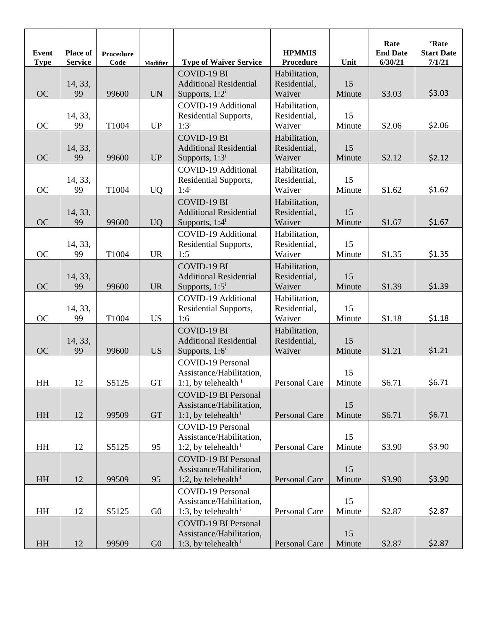| <b>Event</b><br><b>Type</b> | Place of<br><b>Service</b> | <b>Procedure</b><br>Code | <b>Modifier</b>          | <b>Type of Waiver Service</b>                                                              | <b>HPMMIS</b><br><b>Procedure</b>       | Unit         | Rate<br><b>End Date</b><br>6/30/21 | <b>'Rate</b><br><b>Start Date</b><br>7/1/21 |
|-----------------------------|----------------------------|--------------------------|--------------------------|--------------------------------------------------------------------------------------------|-----------------------------------------|--------------|------------------------------------|---------------------------------------------|
| <b>OC</b>                   | 14, 33,<br>99              | 99600                    | $\ensuremath{\text{UN}}$ | COVID-19 BI<br><b>Additional Residential</b><br>Supports, $1:2^i$                          | Habilitation,<br>Residential,<br>Waiver | 15<br>Minute | \$3.03                             | \$3.03                                      |
| <b>OC</b>                   | 14, 33,<br>99              | T1004                    | <b>UP</b>                | COVID-19 Additional<br>Residential Supports,<br>$1:3^{i}$                                  | Habilitation,<br>Residential,<br>Waiver | 15<br>Minute | \$2.06                             | \$2.06                                      |
| <b>OC</b>                   | 14, 33,<br>99              | 99600                    | <b>UP</b>                | COVID-19 BI<br><b>Additional Residential</b><br>Supports, 1:3 <sup>i</sup>                 | Habilitation,<br>Residential,<br>Waiver | 15<br>Minute | \$2.12                             | \$2.12                                      |
| <b>OC</b>                   | 14, 33,<br>99              | T1004                    | <b>UQ</b>                | COVID-19 Additional<br>Residential Supports,<br>$1:4^{i}$                                  | Habilitation,<br>Residential,<br>Waiver | 15<br>Minute | \$1.62                             | \$1.62                                      |
| <b>OC</b>                   | 14, 33,<br>99              | 99600                    | <b>UQ</b>                | <b>COVID-19 BI</b><br><b>Additional Residential</b><br>Supports, $1:4^i$                   | Habilitation,<br>Residential,<br>Waiver | 15<br>Minute | \$1.67                             | \$1.67                                      |
| <b>OC</b>                   | 14, 33,<br>99              | T1004                    | <b>UR</b>                | COVID-19 Additional<br>Residential Supports,<br>$1:5^{i}$                                  | Habilitation,<br>Residential,<br>Waiver | 15<br>Minute | \$1.35                             | \$1.35                                      |
| <b>OC</b>                   | 14, 33,<br>99              | 99600                    | <b>UR</b>                | <b>COVID-19 BI</b><br><b>Additional Residential</b><br>Supports, $1:5^i$                   | Habilitation,<br>Residential,<br>Waiver | 15<br>Minute | \$1.39                             | \$1.39                                      |
| <b>OC</b>                   | 14, 33,<br>99              | T1004                    | <b>US</b>                | COVID-19 Additional<br>Residential Supports,<br>$1:6^i$                                    | Habilitation,<br>Residential,<br>Waiver | 15<br>Minute | \$1.18                             | \$1.18                                      |
| <b>OC</b>                   | 14, 33,<br>99              | 99600                    | <b>US</b>                | <b>COVID-19 BI</b><br><b>Additional Residential</b><br>Supports, $1:6^i$                   | Habilitation,<br>Residential,<br>Waiver | 15<br>Minute | \$1.21                             | \$1.21                                      |
| HH                          | 12                         | S5125                    | <b>GT</b>                | COVID-19 Personal<br>Assistance/Habilitation,<br>1:1, by telehealth $\frac{1}{1}$          | Personal Care                           | 15<br>Minute | \$6.71                             | \$6.71                                      |
| <b>HH</b>                   | 12                         | 99509                    | <b>GT</b>                | <b>COVID-19 BI Personal</b><br>Assistance/Habilitation,<br>1:1, by telehealth <sup>i</sup> | <b>Personal Care</b>                    | 15<br>Minute | \$6.71                             | \$6.71                                      |
| HH                          | 12                         | S5125                    | 95                       | <b>COVID-19 Personal</b><br>Assistance/Habilitation,<br>1:2, by telehealth <sup>i</sup>    | Personal Care                           | 15<br>Minute | \$3.90                             | \$3.90                                      |
| HH                          | 12                         | 99509                    | 95                       | <b>COVID-19 BI Personal</b><br>Assistance/Habilitation,<br>1:2, by telehealth <sup>i</sup> | <b>Personal Care</b>                    | 15<br>Minute | \$3.90                             | \$3.90                                      |
| HH                          | 12                         | S5125                    | G <sub>0</sub>           | COVID-19 Personal<br>Assistance/Habilitation,<br>1:3, by telehealth <sup>i</sup>           | Personal Care                           | 15<br>Minute | \$2.87                             | \$2.87                                      |
| HH                          | 12                         | 99509                    | G <sub>0</sub>           | <b>COVID-19 BI Personal</b><br>Assistance/Habilitation,<br>1:3, by telehealth <sup>i</sup> | Personal Care                           | 15<br>Minute | \$2.87                             | \$2.87                                      |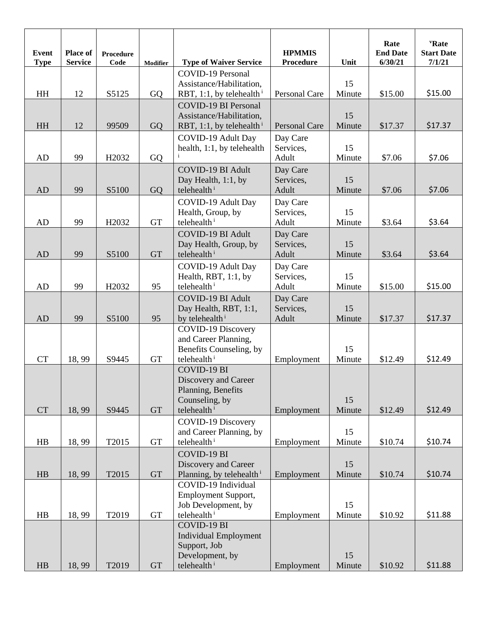| <b>Event</b><br><b>Type</b> | <b>Place of</b><br><b>Service</b> | Procedure<br>Code | <b>Modifier</b>     | <b>Type of Waiver Service</b>                | <b>HPMMIS</b><br><b>Procedure</b> | Unit         | Rate<br><b>End Date</b><br>6/30/21 | <b>'Rate</b><br><b>Start Date</b><br>7/1/21 |
|-----------------------------|-----------------------------------|-------------------|---------------------|----------------------------------------------|-----------------------------------|--------------|------------------------------------|---------------------------------------------|
|                             |                                   |                   |                     | <b>COVID-19 Personal</b>                     |                                   |              |                                    |                                             |
|                             |                                   |                   |                     | Assistance/Habilitation,                     |                                   | 15           |                                    |                                             |
| HH                          | 12                                | S5125             | GQ                  | RBT, 1:1, by telehealth <sup>i</sup>         | Personal Care                     | Minute       | \$15.00                            | \$15.00                                     |
|                             |                                   |                   |                     | <b>COVID-19 BI Personal</b>                  |                                   |              |                                    |                                             |
|                             |                                   |                   |                     | Assistance/Habilitation,                     |                                   | 15           |                                    |                                             |
| HH                          | 12                                | 99509             | GQ                  | RBT, 1:1, by telehealth <sup>i</sup>         | <b>Personal Care</b>              | Minute       | \$17.37                            | \$17.37                                     |
|                             |                                   |                   |                     | COVID-19 Adult Day                           | Day Care                          |              |                                    |                                             |
|                             |                                   |                   |                     | health, 1:1, by telehealth                   | Services,                         | 15           |                                    |                                             |
| AD                          | 99                                | H <sub>2032</sub> | GQ                  |                                              | Adult                             | Minute       | \$7.06                             | \$7.06                                      |
|                             |                                   |                   |                     | <b>COVID-19 BI Adult</b>                     | Day Care                          |              |                                    |                                             |
|                             |                                   |                   |                     | Day Health, 1:1, by                          | Services,                         | 15           |                                    |                                             |
| AD                          | 99                                | S5100             | GQ                  | telehealth <sup>i</sup>                      | Adult                             | Minute       | \$7.06                             | \$7.06                                      |
|                             |                                   |                   |                     | COVID-19 Adult Day                           | Day Care                          | 15           |                                    |                                             |
| AD                          | 99                                | H2032             | <b>GT</b>           | Health, Group, by<br>telehealth <sup>i</sup> | Services,<br>Adult                | Minute       | \$3.64                             | \$3.64                                      |
|                             |                                   |                   |                     | <b>COVID-19 BI Adult</b>                     |                                   |              |                                    |                                             |
|                             |                                   |                   |                     | Day Health, Group, by                        | Day Care<br>Services,             | 15           |                                    |                                             |
| AD                          | 99                                | S5100             | <b>GT</b>           | telehealth <sup>i</sup>                      | Adult                             | Minute       | \$3.64                             | \$3.64                                      |
|                             |                                   |                   |                     | COVID-19 Adult Day                           | Day Care                          |              |                                    |                                             |
|                             |                                   |                   |                     | Health, RBT, 1:1, by                         | Services,                         | 15           |                                    |                                             |
| AD                          | 99                                | H <sub>2032</sub> | 95                  | telehealth <sup>i</sup>                      | Adult                             | Minute       | \$15.00                            | \$15.00                                     |
|                             |                                   |                   |                     | <b>COVID-19 BI Adult</b>                     | Day Care                          |              |                                    |                                             |
|                             |                                   |                   |                     | Day Health, RBT, 1:1,                        | Services,                         | 15           |                                    |                                             |
| <b>AD</b>                   | 99                                | S5100             | 95                  | by telehealth <sup>i</sup>                   | Adult                             | Minute       | \$17.37                            | \$17.37                                     |
|                             |                                   |                   |                     | <b>COVID-19 Discovery</b>                    |                                   |              |                                    |                                             |
|                             |                                   |                   |                     | and Career Planning,                         |                                   |              |                                    |                                             |
|                             |                                   |                   |                     | Benefits Counseling, by                      |                                   | 15<br>Minute |                                    |                                             |
| <b>CT</b>                   | 18,99                             | S9445             | <b>GT</b>           | telehealth <sup>i</sup><br>COVID-19 BI       | Employment                        |              | \$12.49                            | \$12.49                                     |
|                             |                                   |                   |                     | Discovery and Career                         |                                   |              |                                    |                                             |
|                             |                                   |                   |                     | Planning, Benefits                           |                                   |              |                                    |                                             |
|                             |                                   |                   |                     | Counseling, by                               |                                   | 15           |                                    |                                             |
| <b>CT</b>                   | 18,99                             | S9445             | <b>GT</b>           | telehealth <sup>i</sup>                      | Employment                        | Minute       | \$12.49                            | \$12.49                                     |
|                             |                                   |                   |                     | <b>COVID-19 Discovery</b>                    |                                   |              |                                    |                                             |
|                             |                                   |                   |                     | and Career Planning, by                      |                                   | 15           |                                    |                                             |
| HB                          | 18,99                             | T2015             | $\operatorname{GT}$ | telehealth <sup>i</sup>                      | Employment                        | Minute       | \$10.74                            | \$10.74                                     |
|                             |                                   |                   |                     | COVID-19 BI                                  |                                   |              |                                    |                                             |
|                             |                                   |                   |                     | Discovery and Career                         |                                   | 15           |                                    |                                             |
| HB                          | 18,99                             | T2015             | <b>GT</b>           | Planning, by telehealth <sup>i</sup>         | Employment                        | Minute       | \$10.74                            | \$10.74                                     |
|                             |                                   |                   |                     | COVID-19 Individual                          |                                   |              |                                    |                                             |
|                             |                                   |                   |                     | Employment Support,<br>Job Development, by   |                                   | 15           |                                    |                                             |
| HB                          | 18,99                             | T2019             | <b>GT</b>           | telehealth <sup>i</sup>                      | Employment                        | Minute       | \$10.92                            | \$11.88                                     |
|                             |                                   |                   |                     | COVID-19 BI                                  |                                   |              |                                    |                                             |
|                             |                                   |                   |                     | <b>Individual Employment</b>                 |                                   |              |                                    |                                             |
|                             |                                   |                   |                     | Support, Job                                 |                                   |              |                                    |                                             |
|                             |                                   |                   |                     | Development, by                              |                                   | 15           |                                    |                                             |
| HB                          | 18,99                             | T2019             | <b>GT</b>           | telehealth <sup>i</sup>                      | Employment                        | Minute       | \$10.92                            | \$11.88                                     |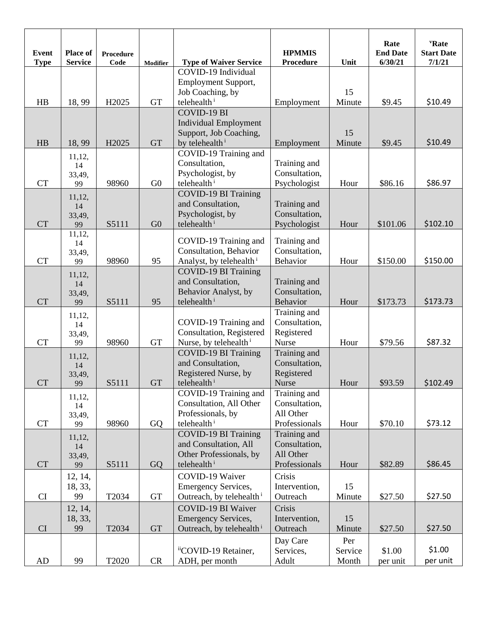| <b>Event</b><br><b>Type</b> | Place of<br><b>Service</b> | <b>Procedure</b><br>Code | <b>Modifier</b> | <b>Type of Waiver Service</b>                          | <b>HPMMIS</b><br><b>Procedure</b> | Unit             | Rate<br><b>End Date</b><br>6/30/21 | <b>'Rate</b><br><b>Start Date</b><br>7/1/21 |
|-----------------------------|----------------------------|--------------------------|-----------------|--------------------------------------------------------|-----------------------------------|------------------|------------------------------------|---------------------------------------------|
|                             |                            |                          |                 | COVID-19 Individual                                    |                                   |                  |                                    |                                             |
|                             |                            |                          |                 | Employment Support,                                    |                                   |                  |                                    |                                             |
|                             |                            |                          |                 | Job Coaching, by                                       |                                   | 15               |                                    |                                             |
| H <sub>B</sub>              | 18,99                      | H <sub>2025</sub>        | <b>GT</b>       | telehealth <sup>i</sup>                                | Employment                        | Minute           | \$9.45                             | \$10.49                                     |
|                             |                            |                          |                 | <b>COVID-19 BI</b>                                     |                                   |                  |                                    |                                             |
|                             |                            |                          |                 | <b>Individual Employment</b><br>Support, Job Coaching, |                                   | 15               |                                    |                                             |
| H B                         | 18,99                      | H <sub>2025</sub>        | <b>GT</b>       | by telehealth <sup>i</sup>                             | Employment                        | Minute           | \$9.45                             | \$10.49                                     |
|                             |                            |                          |                 | COVID-19 Training and                                  |                                   |                  |                                    |                                             |
|                             | 11,12,<br>14               |                          |                 | Consultation,                                          | Training and                      |                  |                                    |                                             |
|                             | 33,49,                     |                          |                 | Psychologist, by                                       | Consultation,                     |                  |                                    |                                             |
| <b>CT</b>                   | 99                         | 98960                    | G <sub>0</sub>  | telehealth <sup>i</sup>                                | Psychologist                      | Hour             | \$86.16                            | \$86.97                                     |
|                             | 11,12,                     |                          |                 | <b>COVID-19 BI Training</b>                            |                                   |                  |                                    |                                             |
|                             | 14                         |                          |                 | and Consultation,                                      | Training and                      |                  |                                    |                                             |
|                             | 33,49,                     |                          |                 | Psychologist, by                                       | Consultation,                     |                  |                                    |                                             |
| <b>CT</b>                   | 99<br>11,12,               | S5111                    | G <sub>0</sub>  | telehealth <sup>i</sup>                                | Psychologist                      | Hour             | \$101.06                           | \$102.10                                    |
|                             | 14                         |                          |                 | COVID-19 Training and                                  | Training and                      |                  |                                    |                                             |
|                             | 33,49,                     |                          |                 | Consultation, Behavior                                 | Consultation,                     |                  |                                    |                                             |
| <b>CT</b>                   | 99                         | 98960                    | 95              | Analyst, by telehealth <sup>i</sup>                    | Behavior                          | Hour             | \$150.00                           | \$150.00                                    |
|                             | 11,12,                     |                          |                 | <b>COVID-19 BI Training</b>                            |                                   |                  |                                    |                                             |
|                             | 14                         |                          |                 | and Consultation,                                      | Training and                      |                  |                                    |                                             |
| <b>CT</b>                   | 33,49,                     | S5111                    | 95              | Behavior Analyst, by<br>telehealth <sup>i</sup>        | Consultation,<br>Behavior         | Hour             | \$173.73                           | \$173.73                                    |
|                             | 99                         |                          |                 |                                                        | Training and                      |                  |                                    |                                             |
|                             | 11,12,<br>14               |                          |                 | COVID-19 Training and                                  | Consultation,                     |                  |                                    |                                             |
|                             | 33,49,                     |                          |                 | Consultation, Registered                               | Registered                        |                  |                                    |                                             |
| <b>CT</b>                   | 99                         | 98960                    | <b>GT</b>       | Nurse, by telehealth <sup>i</sup>                      | Nurse                             | Hour             | \$79.56                            | \$87.32                                     |
|                             | 11,12,                     |                          |                 | <b>COVID-19 BI Training</b>                            | Training and                      |                  |                                    |                                             |
|                             | 14                         |                          |                 | and Consultation,                                      | Consultation,                     |                  |                                    |                                             |
|                             | 33,49,                     |                          |                 | Registered Nurse, by                                   | Registered                        |                  |                                    |                                             |
| <b>CT</b>                   | 99                         | S5111                    | <b>GT</b>       | telehealth <sup>i</sup>                                | Nurse                             | Hour             | \$93.59                            | \$102.49                                    |
|                             | 11,12,                     |                          |                 | COVID-19 Training and<br>Consultation, All Other       | Training and<br>Consultation,     |                  |                                    |                                             |
|                             | 14                         |                          |                 | Professionals, by                                      | All Other                         |                  |                                    |                                             |
| CT                          | 33,49,<br>99               | 98960                    | GQ              | telehealth <sup>i</sup>                                | Professionals                     | Hour             | \$70.10                            | \$73.12                                     |
|                             | 11,12,                     |                          |                 | <b>COVID-19 BI Training</b>                            | Training and                      |                  |                                    |                                             |
|                             | 14                         |                          |                 | and Consultation, All                                  | Consultation,                     |                  |                                    |                                             |
|                             | 33,49,                     |                          |                 | Other Professionals, by                                | All Other                         |                  |                                    |                                             |
| <b>CT</b>                   | 99                         | S5111                    | GQ              | telehealth <sup>i</sup>                                | Professionals                     | Hour             | \$82.89                            | \$86.45                                     |
|                             | 12, 14,                    |                          |                 | COVID-19 Waiver                                        | Crisis                            |                  |                                    |                                             |
|                             | 18, 33,                    |                          |                 | <b>Emergency Services,</b>                             | Intervention,                     | 15               |                                    |                                             |
| CI                          | 99                         | T2034                    | <b>GT</b>       | Outreach, by telehealth <sup>i</sup>                   | Outreach                          | Minute           | \$27.50                            | \$27.50                                     |
|                             | 12, 14,                    |                          |                 | COVID-19 BI Waiver                                     | Crisis                            |                  |                                    |                                             |
|                             | 18, 33,                    |                          |                 | <b>Emergency Services,</b>                             | Intervention,                     | 15               |                                    |                                             |
| CI                          | 99                         | T2034                    | GT              | Outreach, by telehealth <sup>i</sup>                   | Outreach                          | Minute           | \$27.50                            | \$27.50                                     |
|                             |                            |                          |                 |                                                        | Day Care                          | Per              |                                    | \$1.00                                      |
| AD                          | 99                         | T2020                    | CR              | iiCOVID-19 Retainer,<br>ADH, per month                 | Services,<br>Adult                | Service<br>Month | \$1.00<br>per unit                 | per unit                                    |
|                             |                            |                          |                 |                                                        |                                   |                  |                                    |                                             |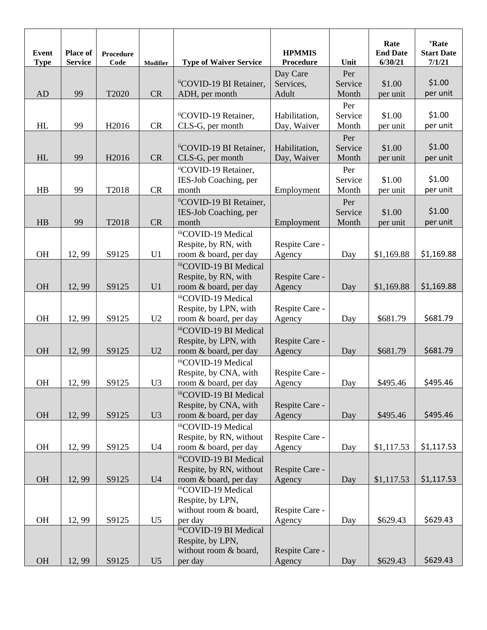| Event<br><b>Type</b> | <b>Place of</b><br><b>Service</b> | <b>Procedure</b><br>Code | Modifier       | <b>Type of Waiver Service</b> | <b>HPMMIS</b><br><b>Procedure</b> | Unit    | Rate<br><b>End Date</b><br>6/30/21 | 'Rate<br><b>Start Date</b><br>7/1/21 |
|----------------------|-----------------------------------|--------------------------|----------------|-------------------------------|-----------------------------------|---------|------------------------------------|--------------------------------------|
|                      |                                   |                          |                |                               | Day Care                          | Per     |                                    |                                      |
|                      |                                   |                          |                | iiCOVID-19 BI Retainer,       | Services,                         | Service | \$1.00                             | \$1.00                               |
| AD                   | 99                                | T2020                    | CR             | ADH, per month                | Adult                             | Month   | per unit                           | per unit                             |
|                      |                                   |                          |                |                               |                                   | Per     |                                    |                                      |
|                      |                                   |                          |                | iiCOVID-19 Retainer,          | Habilitation,                     | Service | \$1.00                             | \$1.00                               |
| HL                   | 99                                | H <sub>2016</sub>        | CR             | CLS-G, per month              | Day, Waiver                       | Month   | per unit                           | per unit                             |
|                      |                                   |                          |                |                               |                                   | Per     |                                    |                                      |
|                      |                                   |                          |                | "COVID-19 BI Retainer,        | Habilitation,                     | Service | \$1.00                             | \$1.00                               |
| HL                   | 99                                | H2016                    | CR             | CLS-G, per month              | Day, Waiver                       | Month   | per unit                           | per unit                             |
|                      |                                   |                          |                | iiCOVID-19 Retainer,          |                                   | Per     |                                    |                                      |
|                      |                                   |                          |                | IES-Job Coaching, per         |                                   | Service | \$1.00                             | \$1.00                               |
| HB                   | 99                                | T2018                    | CR             | month                         | Employment                        | Month   | per unit                           | per unit                             |
|                      |                                   |                          |                | iiCOVID-19 BI Retainer,       |                                   | Per     |                                    |                                      |
|                      |                                   |                          |                | IES-Job Coaching, per         |                                   | Service | \$1.00                             | \$1.00                               |
| HB                   | 99                                | T2018                    | CR             | month                         | Employment                        | Month   | per unit                           | per unit                             |
|                      |                                   |                          |                | iiiCOVID-19 Medical           |                                   |         |                                    |                                      |
|                      |                                   |                          |                | Respite, by RN, with          | Respite Care -                    |         |                                    |                                      |
| <b>OH</b>            | 12,99                             | S9125                    | U <sub>1</sub> | room & board, per day         | Agency                            | Day     | \$1,169.88                         | \$1,169.88                           |
|                      |                                   |                          |                | iiiCOVID-19 BI Medical        |                                   |         |                                    |                                      |
|                      |                                   |                          |                | Respite, by RN, with          | Respite Care -                    |         |                                    |                                      |
| OH                   | 12,99                             | S9125                    | U1             | room & board, per day         | Agency                            | Day     | \$1,169.88                         | \$1,169.88                           |
|                      |                                   |                          |                | iiiCOVID-19 Medical           |                                   |         |                                    |                                      |
|                      |                                   |                          |                | Respite, by LPN, with         | Respite Care -                    |         |                                    |                                      |
| OH                   | 12,99                             | S9125                    | U <sub>2</sub> | room & board, per day         | Agency                            | Day     | \$681.79                           | \$681.79                             |
|                      |                                   |                          |                | iiiCOVID-19 BI Medical        |                                   |         |                                    |                                      |
|                      |                                   |                          |                | Respite, by LPN, with         | Respite Care -                    |         |                                    |                                      |
| OH                   | 12,99                             | S9125                    | U2             | room & board, per day         | Agency                            | Day     | \$681.79                           | \$681.79                             |
|                      |                                   |                          |                | iiiCOVID-19 Medical           |                                   |         |                                    |                                      |
|                      |                                   |                          |                | Respite, by CNA, with         | Respite Care -                    |         |                                    |                                      |
| <b>OH</b>            | 12,99                             | S9125                    | U <sub>3</sub> | room & board, per day         | Agency                            | Day     | \$495.46                           | \$495.46                             |
|                      |                                   |                          |                | iiiCOVID-19 BI Medical        |                                   |         |                                    |                                      |
|                      |                                   |                          |                | Respite, by CNA, with         | Respite Care -                    |         |                                    |                                      |
| OH                   | 12,99                             | S9125                    | U3             | room & board, per day         | Agency                            | Day     | \$495.46                           | \$495.46                             |
|                      |                                   |                          |                | iiiCOVID-19 Medical           |                                   |         |                                    |                                      |
|                      |                                   |                          |                | Respite, by RN, without       | Respite Care -                    |         |                                    |                                      |
| OH                   | 12,99                             | S9125                    | U <sub>4</sub> | room & board, per day         | Agency                            | Day     | \$1,117.53                         | \$1,117.53                           |
|                      |                                   |                          |                | iiiCOVID-19 BI Medical        |                                   |         |                                    |                                      |
|                      |                                   |                          |                | Respite, by RN, without       | Respite Care -                    |         |                                    |                                      |
| OH                   | 12,99                             | S9125                    | U4             | room & board, per day         | Agency                            | Day     | \$1,117.53                         | \$1,117.53                           |
|                      |                                   |                          |                | iiiCOVID-19 Medical           |                                   |         |                                    |                                      |
|                      |                                   |                          |                | Respite, by LPN,              |                                   |         |                                    |                                      |
|                      |                                   |                          |                | without room & board,         | Respite Care -                    |         |                                    |                                      |
| OH                   | 12,99                             | S9125                    | U <sub>5</sub> | per day                       | Agency                            | Day     | \$629.43                           | \$629.43                             |
|                      |                                   |                          |                | iiiCOVID-19 BI Medical        |                                   |         |                                    |                                      |
|                      |                                   |                          |                | Respite, by LPN,              |                                   |         |                                    |                                      |
| OH                   | 12,99                             | S9125                    | U <sub>5</sub> | without room & board,         | Respite Care -<br>Agency          |         | \$629.43                           | \$629.43                             |
|                      |                                   |                          |                | per day                       |                                   | Day     |                                    |                                      |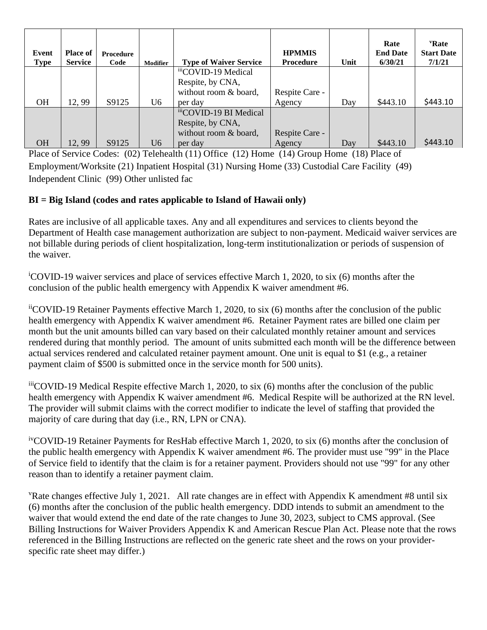| Event<br><b>Type</b> | <b>Place of</b><br><b>Service</b> | <b>Procedure</b><br>Code | <b>Modifier</b> | <b>Type of Waiver Service</b> | <b>HPMMIS</b><br><b>Procedure</b> | Unit | Rate<br><b>End Date</b><br>6/30/21 | 'Rate<br><b>Start Date</b><br>7/1/21 |
|----------------------|-----------------------------------|--------------------------|-----------------|-------------------------------|-----------------------------------|------|------------------------------------|--------------------------------------|
|                      |                                   |                          |                 | iiiCOVID-19 Medical           |                                   |      |                                    |                                      |
|                      |                                   |                          |                 | Respite, by CNA,              |                                   |      |                                    |                                      |
|                      |                                   |                          |                 | without room & board,         | Respite Care -                    |      |                                    |                                      |
| <b>OH</b>            | 12,99                             | S9125                    | U6              | per day                       | Agency                            | Day  | \$443.10                           | \$443.10                             |
|                      |                                   |                          |                 | iiiCOVID-19 BI Medical        |                                   |      |                                    |                                      |
|                      |                                   |                          |                 | Respite, by CNA,              |                                   |      |                                    |                                      |
|                      |                                   |                          |                 | without room & board,         | Respite Care -                    |      |                                    |                                      |
| <b>OH</b>            | 12,99                             | S9125                    | U6              | per day                       | Agency                            | Day  | \$443.10                           | \$443.10                             |

Place of Service Codes: (02) Telehealth (11) Office (12) Home (14) Group Home (18) Place of Employment/Worksite (21) Inpatient Hospital (31) Nursing Home (33) Custodial Care Facility (49) Independent Clinic (99) Other unlisted fac

## **BI = Big Island (codes and rates applicable to Island of Hawaii only)**

Rates are inclusive of all applicable taxes. Any and all expenditures and services to clients beyond the Department of Health case management authorization are subject to non-payment. Medicaid waiver services are not billable during periods of client hospitalization, long-term institutionalization or periods of suspension of the waiver.

<sup>i</sup>COVID-19 waiver services and place of services effective March 1, 2020, to six (6) months after the conclusion of the public health emergency with Appendix K waiver amendment #6.

iiCOVID-19 Retainer Payments effective March 1, 2020, to six (6) months after the conclusion of the public health emergency with Appendix K waiver amendment #6. Retainer Payment rates are billed one claim per month but the unit amounts billed can vary based on their calculated monthly retainer amount and services rendered during that monthly period. The amount of units submitted each month will be the difference between actual services rendered and calculated retainer payment amount. One unit is equal to \$1 (e.g., a retainer payment claim of \$500 is submitted once in the service month for 500 units).

iiiCOVID-19 Medical Respite effective March 1, 2020, to six (6) months after the conclusion of the public health emergency with Appendix K waiver amendment #6. Medical Respite will be authorized at the RN level. The provider will submit claims with the correct modifier to indicate the level of staffing that provided the majority of care during that day (i.e., RN, LPN or CNA).

ivCOVID-19 Retainer Payments for ResHab effective March 1, 2020, to six (6) months after the conclusion of the public health emergency with Appendix K waiver amendment #6. The provider must use "99" in the Place of Service field to identify that the claim is for a retainer payment. Providers should not use "99" for any other reason than to identify a retainer payment claim.

<sup>v</sup>Rate changes effective July 1, 2021. All rate changes are in effect with Appendix K amendment #8 until six (6) months after the conclusion of the public health emergency. DDD intends to submit an amendment to the waiver that would extend the end date of the rate changes to June 30, 2023, subject to CMS approval. (See Billing Instructions for Waiver Providers Appendix K and American Rescue Plan Act. Please note that the rows referenced in the Billing Instructions are reflected on the generic rate sheet and the rows on your providerspecific rate sheet may differ.)